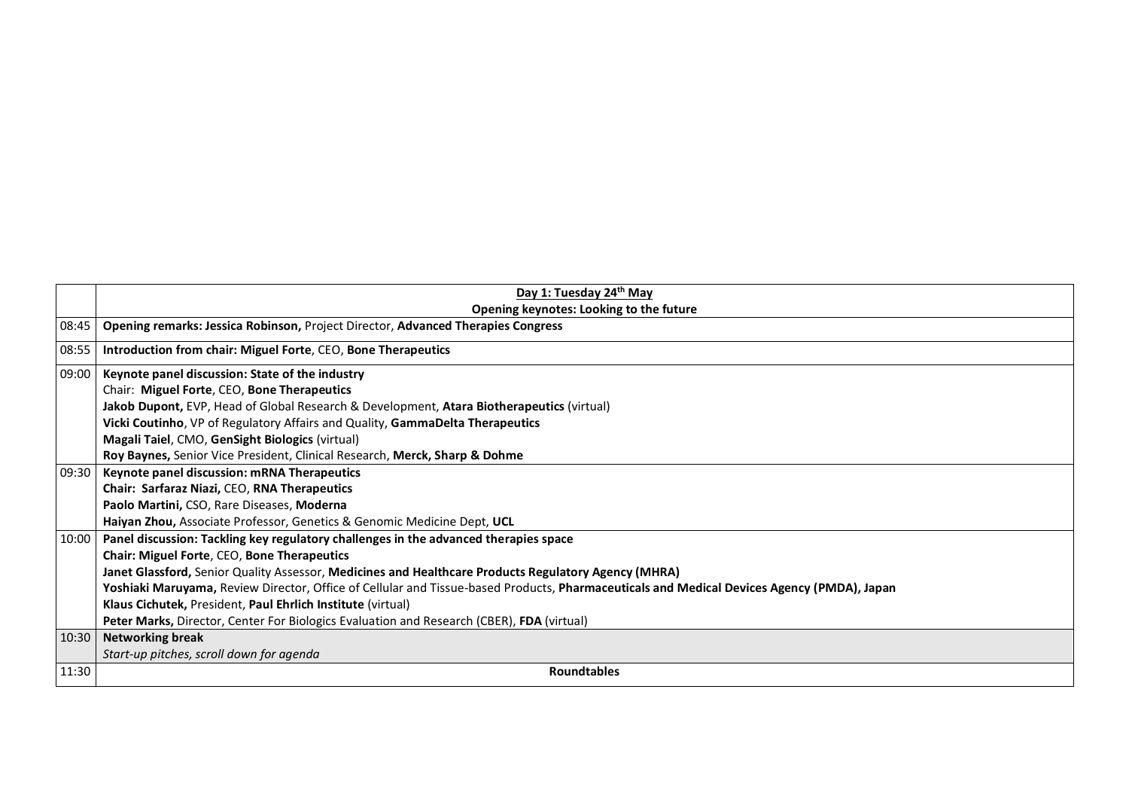|       | Day 1: Tuesday 24th May                                                                                                                    |  |  |  |  |  |  |  |
|-------|--------------------------------------------------------------------------------------------------------------------------------------------|--|--|--|--|--|--|--|
| 08:45 | Opening keynotes: Looking to the future                                                                                                    |  |  |  |  |  |  |  |
|       | Opening remarks: Jessica Robinson, Project Director, Advanced Therapies Congress                                                           |  |  |  |  |  |  |  |
| 08:55 | Introduction from chair: Miguel Forte, CEO, Bone Therapeutics                                                                              |  |  |  |  |  |  |  |
| 09:00 | Keynote panel discussion: State of the industry                                                                                            |  |  |  |  |  |  |  |
|       | Chair: Miguel Forte, CEO, Bone Therapeutics                                                                                                |  |  |  |  |  |  |  |
|       | Jakob Dupont, EVP, Head of Global Research & Development, Atara Biotherapeutics (virtual)                                                  |  |  |  |  |  |  |  |
|       | Vicki Coutinho, VP of Regulatory Affairs and Quality, GammaDelta Therapeutics                                                              |  |  |  |  |  |  |  |
|       | Magali Taiel, CMO, GenSight Biologics (virtual)                                                                                            |  |  |  |  |  |  |  |
|       | Roy Baynes, Senior Vice President, Clinical Research, Merck, Sharp & Dohme                                                                 |  |  |  |  |  |  |  |
| 09:30 | Keynote panel discussion: mRNA Therapeutics                                                                                                |  |  |  |  |  |  |  |
|       | Chair: Sarfaraz Niazi, CEO, RNA Therapeutics                                                                                               |  |  |  |  |  |  |  |
|       | Paolo Martini, CSO, Rare Diseases, Moderna                                                                                                 |  |  |  |  |  |  |  |
|       | Haiyan Zhou, Associate Professor, Genetics & Genomic Medicine Dept, UCL                                                                    |  |  |  |  |  |  |  |
| 10:00 | Panel discussion: Tackling key regulatory challenges in the advanced therapies space                                                       |  |  |  |  |  |  |  |
|       | Chair: Miguel Forte, CEO, Bone Therapeutics                                                                                                |  |  |  |  |  |  |  |
|       | Janet Glassford, Senior Quality Assessor, Medicines and Healthcare Products Regulatory Agency (MHRA)                                       |  |  |  |  |  |  |  |
|       | Yoshiaki Maruyama, Review Director, Office of Cellular and Tissue-based Products, Pharmaceuticals and Medical Devices Agency (PMDA), Japan |  |  |  |  |  |  |  |
|       | Klaus Cichutek, President, Paul Ehrlich Institute (virtual)                                                                                |  |  |  |  |  |  |  |
|       | Peter Marks, Director, Center For Biologics Evaluation and Research (CBER), FDA (virtual)                                                  |  |  |  |  |  |  |  |
| 10:30 | <b>Networking break</b>                                                                                                                    |  |  |  |  |  |  |  |
|       | Start-up pitches, scroll down for agenda                                                                                                   |  |  |  |  |  |  |  |
| 11:30 | <b>Roundtables</b>                                                                                                                         |  |  |  |  |  |  |  |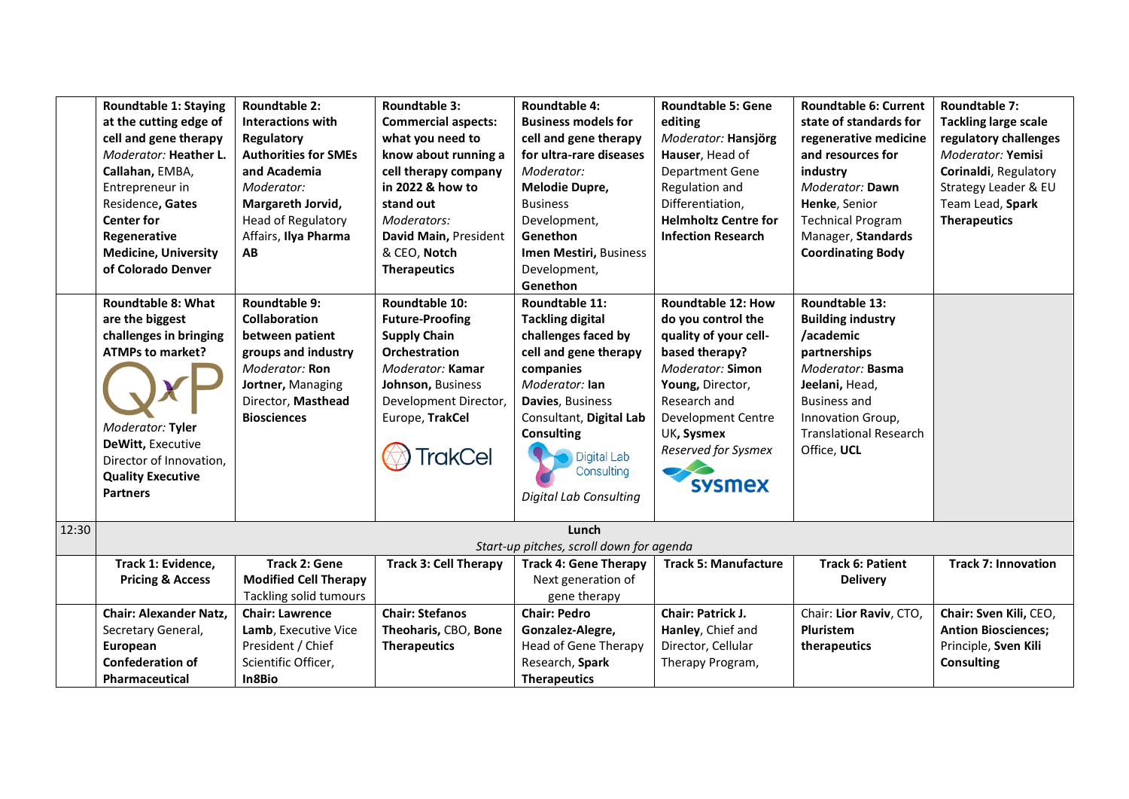|       | <b>Roundtable 1: Staying</b><br>at the cutting edge of<br>cell and gene therapy<br>Moderator: Heather L.<br>Callahan, EMBA,<br>Entrepreneur in<br>Residence, Gates                                                   | Roundtable 2:<br><b>Interactions with</b><br>Regulatory<br><b>Authorities for SMEs</b><br>and Academia<br>Moderator:<br>Margareth Jorvid,                          | Roundtable 3:<br><b>Commercial aspects:</b><br>what you need to<br>know about running a<br>cell therapy company<br>in 2022 & how to<br>stand out                                | <b>Roundtable 4:</b><br><b>Business models for</b><br>cell and gene therapy<br>for ultra-rare diseases<br>Moderator:<br>Melodie Dupre,<br><b>Business</b>                                                                                                                     | <b>Roundtable 5: Gene</b><br>editing<br>Moderator: Hansjörg<br>Hauser, Head of<br><b>Department Gene</b><br>Regulation and<br>Differentiation,                                                                                 | <b>Roundtable 6: Current</b><br>state of standards for<br>regenerative medicine<br>and resources for<br>industry<br>Moderator: Dawn<br>Henke, Senior                                                      | <b>Roundtable 7:</b><br><b>Tackling large scale</b><br>regulatory challenges<br>Moderator: Yemisi<br>Corinaldi, Regulatory<br>Strategy Leader & EU<br>Team Lead, Spark |
|-------|----------------------------------------------------------------------------------------------------------------------------------------------------------------------------------------------------------------------|--------------------------------------------------------------------------------------------------------------------------------------------------------------------|---------------------------------------------------------------------------------------------------------------------------------------------------------------------------------|-------------------------------------------------------------------------------------------------------------------------------------------------------------------------------------------------------------------------------------------------------------------------------|--------------------------------------------------------------------------------------------------------------------------------------------------------------------------------------------------------------------------------|-----------------------------------------------------------------------------------------------------------------------------------------------------------------------------------------------------------|------------------------------------------------------------------------------------------------------------------------------------------------------------------------|
|       | <b>Center for</b><br>Regenerative<br><b>Medicine, University</b><br>of Colorado Denver                                                                                                                               | <b>Head of Regulatory</b><br>Affairs, Ilya Pharma<br>AВ                                                                                                            | Moderators:<br>David Main, President<br>& CEO, Notch<br><b>Therapeutics</b>                                                                                                     | Development,<br>Genethon<br>Imen Mestiri, Business<br>Development,                                                                                                                                                                                                            | <b>Helmholtz Centre for</b><br><b>Infection Research</b>                                                                                                                                                                       | <b>Technical Program</b><br>Manager, Standards<br><b>Coordinating Body</b>                                                                                                                                | <b>Therapeutics</b>                                                                                                                                                    |
|       | <b>Roundtable 8: What</b><br>are the biggest<br>challenges in bringing<br><b>ATMPs to market?</b><br>Moderator: Tyler<br>DeWitt, Executive<br>Director of Innovation,<br><b>Quality Executive</b><br><b>Partners</b> | Roundtable 9:<br><b>Collaboration</b><br>between patient<br>groups and industry<br>Moderator: Ron<br>Jortner, Managing<br>Director, Masthead<br><b>Biosciences</b> | Roundtable 10:<br><b>Future-Proofing</b><br><b>Supply Chain</b><br>Orchestration<br>Moderator: Kamar<br>Johnson, Business<br>Development Director,<br>Europe, TrakCel<br>rakCel | Genethon<br>Roundtable 11:<br><b>Tackling digital</b><br>challenges faced by<br>cell and gene therapy<br>companies<br>Moderator: Ian<br>Davies, Business<br>Consultant, Digital Lab<br><b>Consulting</b><br><b>Digital Lab</b><br>Consulting<br><b>Digital Lab Consulting</b> | <b>Roundtable 12: How</b><br>do you control the<br>quality of your cell-<br>based therapy?<br>Moderator: Simon<br>Young, Director,<br>Research and<br>Development Centre<br>UK, Sysmex<br>Reserved for Sysmex<br><b>sysmex</b> | Roundtable 13:<br><b>Building industry</b><br>/academic<br>partnerships<br>Moderator: Basma<br>Jeelani, Head,<br><b>Business and</b><br>Innovation Group,<br><b>Translational Research</b><br>Office, UCL |                                                                                                                                                                        |
| 12:30 |                                                                                                                                                                                                                      |                                                                                                                                                                    |                                                                                                                                                                                 | Lunch<br>Start-up pitches, scroll down for agenda                                                                                                                                                                                                                             |                                                                                                                                                                                                                                |                                                                                                                                                                                                           |                                                                                                                                                                        |
|       | Track 1: Evidence,<br><b>Pricing &amp; Access</b>                                                                                                                                                                    | <b>Track 2: Gene</b><br><b>Modified Cell Therapy</b><br>Tackling solid tumours                                                                                     | <b>Track 3: Cell Therapy</b>                                                                                                                                                    | <b>Track 4: Gene Therapy</b><br>Next generation of<br>gene therapy                                                                                                                                                                                                            | <b>Track 5: Manufacture</b>                                                                                                                                                                                                    | <b>Track 6: Patient</b><br><b>Delivery</b>                                                                                                                                                                | <b>Track 7: Innovation</b>                                                                                                                                             |
|       | <b>Chair: Alexander Natz,</b><br>Secretary General,<br>European<br><b>Confederation of</b><br>Pharmaceutical                                                                                                         | <b>Chair: Lawrence</b><br>Lamb, Executive Vice<br>President / Chief<br>Scientific Officer,<br>In8Bio                                                               | <b>Chair: Stefanos</b><br>Theoharis, CBO, Bone<br><b>Therapeutics</b>                                                                                                           | <b>Chair: Pedro</b><br>Gonzalez-Alegre,<br>Head of Gene Therapy<br>Research, Spark<br><b>Therapeutics</b>                                                                                                                                                                     | Chair: Patrick J.<br>Hanley, Chief and<br>Director, Cellular<br>Therapy Program,                                                                                                                                               | Chair: Lior Raviv, CTO,<br>Pluristem<br>therapeutics                                                                                                                                                      | Chair: Sven Kili, CEO,<br><b>Antion Biosciences;</b><br>Principle, Sven Kili<br><b>Consulting</b>                                                                      |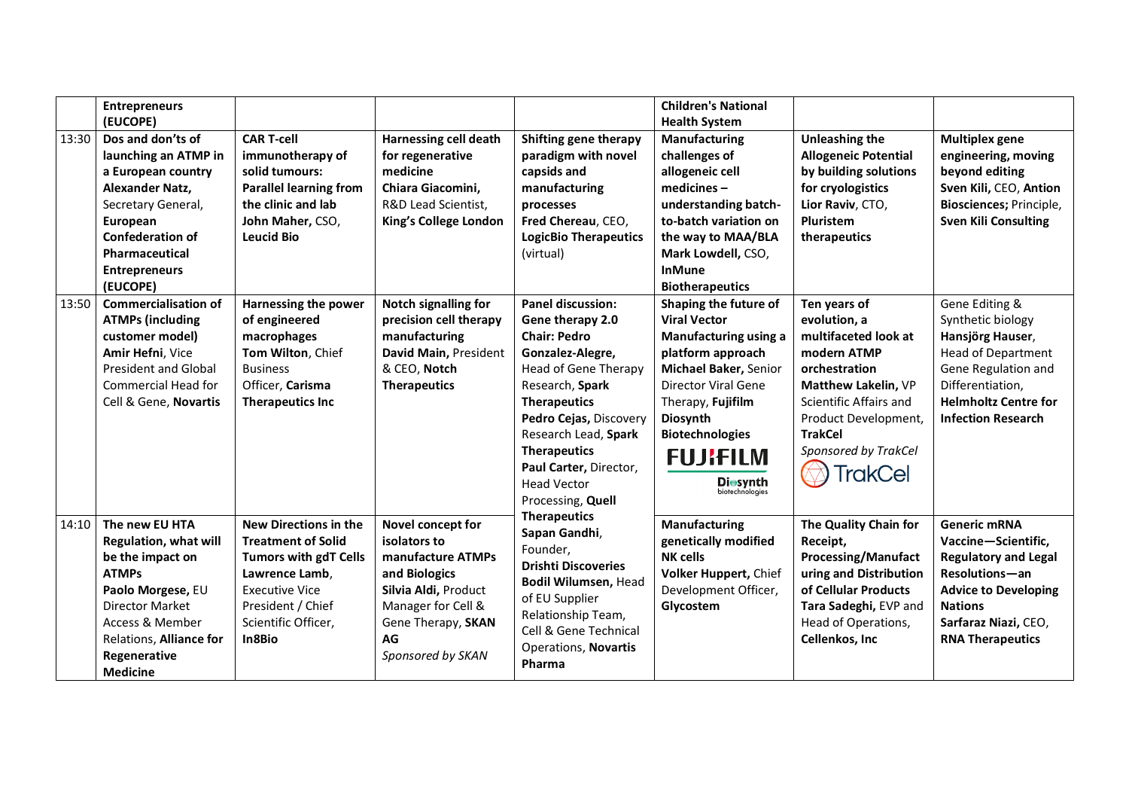|       | <b>Entrepreneurs</b><br>(EUCOPE)                                                                                                                                                                                              |                                                                                                                                                                                            |                                                                                                                                                                        |                                                                                                                                                                                                                                                                                                                | <b>Children's National</b><br><b>Health System</b>                                                                                                                                                                                                                                              |                                                                                                                                                                                                                    |                                                                                                                                                                                                 |
|-------|-------------------------------------------------------------------------------------------------------------------------------------------------------------------------------------------------------------------------------|--------------------------------------------------------------------------------------------------------------------------------------------------------------------------------------------|------------------------------------------------------------------------------------------------------------------------------------------------------------------------|----------------------------------------------------------------------------------------------------------------------------------------------------------------------------------------------------------------------------------------------------------------------------------------------------------------|-------------------------------------------------------------------------------------------------------------------------------------------------------------------------------------------------------------------------------------------------------------------------------------------------|--------------------------------------------------------------------------------------------------------------------------------------------------------------------------------------------------------------------|-------------------------------------------------------------------------------------------------------------------------------------------------------------------------------------------------|
| 13:30 | Dos and don'ts of<br>launching an ATMP in<br>a European country<br><b>Alexander Natz,</b><br>Secretary General,<br>European<br><b>Confederation of</b><br>Pharmaceutical<br><b>Entrepreneurs</b>                              | <b>CAR T-cell</b><br>immunotherapy of<br>solid tumours:<br><b>Parallel learning from</b><br>the clinic and lab<br>John Maher, CSO,<br><b>Leucid Bio</b>                                    | <b>Harnessing cell death</b><br>for regenerative<br>medicine<br>Chiara Giacomini,<br>R&D Lead Scientist,<br>King's College London                                      | Shifting gene therapy<br>paradigm with novel<br>capsids and<br>manufacturing<br>processes<br>Fred Chereau, CEO,<br><b>LogicBio Therapeutics</b><br>(virtual)                                                                                                                                                   | <b>Manufacturing</b><br>challenges of<br>allogeneic cell<br>$medicines -$<br>understanding batch-<br>to-batch variation on<br>the way to MAA/BLA<br>Mark Lowdell, CSO,<br><b>InMune</b>                                                                                                         | <b>Unleashing the</b><br><b>Allogeneic Potential</b><br>by building solutions<br>for cryologistics<br>Lior Raviv, CTO,<br><b>Pluristem</b><br>therapeutics                                                         | <b>Multiplex gene</b><br>engineering, moving<br>beyond editing<br>Sven Kili, CEO, Antion<br>Biosciences; Principle,<br><b>Sven Kili Consulting</b>                                              |
| 13:50 | (EUCOPE)<br><b>Commercialisation of</b><br><b>ATMPs (including</b><br>customer model)<br>Amir Hefni, Vice<br><b>President and Global</b><br>Commercial Head for<br>Cell & Gene, Novartis                                      | Harnessing the power<br>of engineered<br>macrophages<br>Tom Wilton, Chief<br><b>Business</b><br>Officer, Carisma<br><b>Therapeutics Inc</b>                                                | Notch signalling for<br>precision cell therapy<br>manufacturing<br>David Main, President<br>& CEO, Notch<br><b>Therapeutics</b>                                        | <b>Panel discussion:</b><br>Gene therapy 2.0<br><b>Chair: Pedro</b><br>Gonzalez-Alegre,<br><b>Head of Gene Therapy</b><br>Research, Spark<br><b>Therapeutics</b><br>Pedro Cejas, Discovery<br>Research Lead, Spark<br><b>Therapeutics</b><br>Paul Carter, Director,<br><b>Head Vector</b><br>Processing, Quell | <b>Biotherapeutics</b><br>Shaping the future of<br><b>Viral Vector</b><br>Manufacturing using a<br>platform approach<br>Michael Baker, Senior<br><b>Director Viral Gene</b><br>Therapy, Fujifilm<br>Diosynth<br><b>Biotechnologies</b><br><b>FUJIFILM</b><br><b>Diosynth</b><br>biotechnologies | Ten years of<br>evolution, a<br>multifaceted look at<br>modern ATMP<br>orchestration<br>Matthew Lakelin, VP<br>Scientific Affairs and<br>Product Development,<br><b>TrakCel</b><br>Sponsored by TrakCel<br>TrakCel | Gene Editing &<br>Synthetic biology<br>Hansjörg Hauser,<br><b>Head of Department</b><br>Gene Regulation and<br>Differentiation,<br><b>Helmholtz Centre for</b><br><b>Infection Research</b>     |
| 14:10 | The new EU HTA<br><b>Regulation, what will</b><br>be the impact on<br><b>ATMPs</b><br>Paolo Morgese, EU<br><b>Director Market</b><br><b>Access &amp; Member</b><br>Relations, Alliance for<br>Regenerative<br><b>Medicine</b> | <b>New Directions in the</b><br><b>Treatment of Solid</b><br><b>Tumors with gdT Cells</b><br>Lawrence Lamb.<br><b>Executive Vice</b><br>President / Chief<br>Scientific Officer,<br>In8Bio | Novel concept for<br>isolators to<br>manufacture ATMPs<br>and Biologics<br>Silvia Aldi, Product<br>Manager for Cell &<br>Gene Therapy, SKAN<br>AG<br>Sponsored by SKAN | <b>Therapeutics</b><br>Sapan Gandhi,<br>Founder,<br><b>Drishti Discoveries</b><br>Bodil Wilumsen, Head<br>of EU Supplier<br>Relationship Team,<br>Cell & Gene Technical<br><b>Operations, Novartis</b><br>Pharma                                                                                               | Manufacturing<br>genetically modified<br><b>NK cells</b><br>Volker Huppert, Chief<br>Development Officer,<br>Glycostem                                                                                                                                                                          | The Quality Chain for<br>Receipt,<br><b>Processing/Manufact</b><br>uring and Distribution<br>of Cellular Products<br>Tara Sadeghi, EVP and<br>Head of Operations,<br>Cellenkos, Inc                                | <b>Generic mRNA</b><br>Vaccine-Scientific,<br><b>Regulatory and Legal</b><br>Resolutions-an<br><b>Advice to Developing</b><br><b>Nations</b><br>Sarfaraz Niazi, CEO,<br><b>RNA Therapeutics</b> |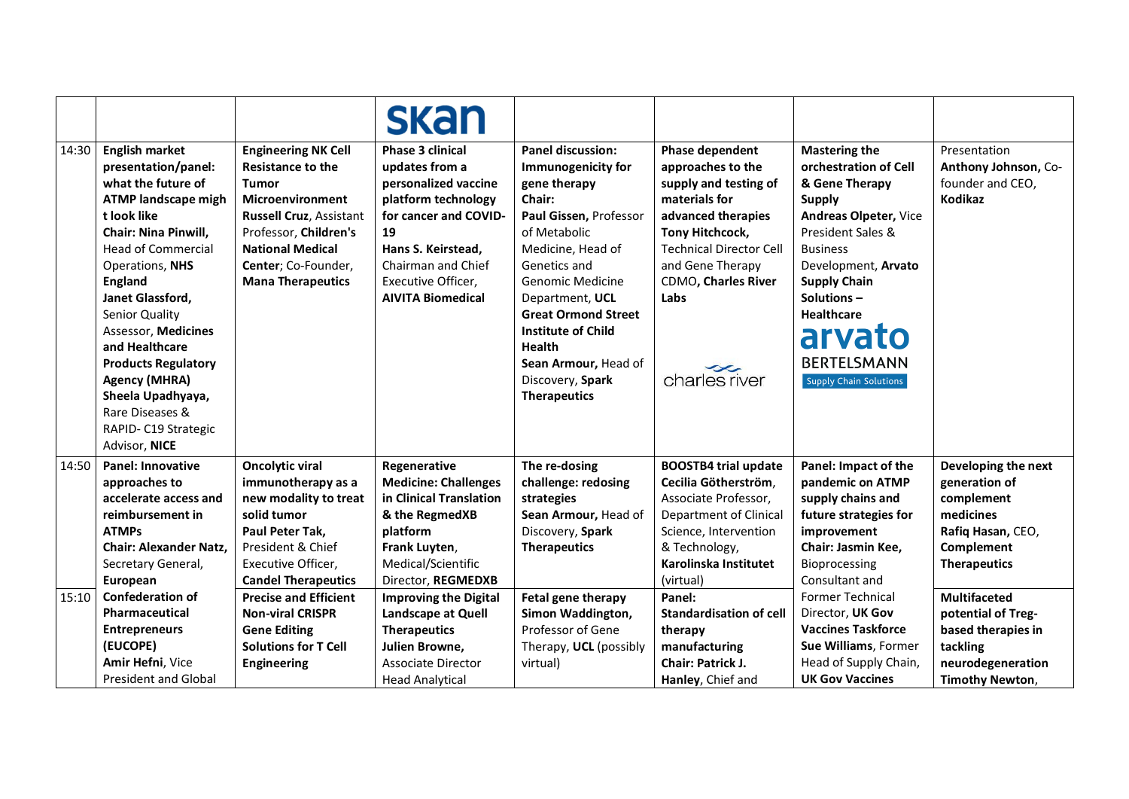|       |                                                                                                                                                                                                                                                                                                                                                                                                                                        |                                                                                                                                                                                                                              | <b>skan</b>                                                                                                                                                                                                           |                                                                                                                                                                                                                                                                                                                                                      |                                                                                                                                                                                                                               |                                                                                                                                                                                                                                                                                              |                                                                                                                            |
|-------|----------------------------------------------------------------------------------------------------------------------------------------------------------------------------------------------------------------------------------------------------------------------------------------------------------------------------------------------------------------------------------------------------------------------------------------|------------------------------------------------------------------------------------------------------------------------------------------------------------------------------------------------------------------------------|-----------------------------------------------------------------------------------------------------------------------------------------------------------------------------------------------------------------------|------------------------------------------------------------------------------------------------------------------------------------------------------------------------------------------------------------------------------------------------------------------------------------------------------------------------------------------------------|-------------------------------------------------------------------------------------------------------------------------------------------------------------------------------------------------------------------------------|----------------------------------------------------------------------------------------------------------------------------------------------------------------------------------------------------------------------------------------------------------------------------------------------|----------------------------------------------------------------------------------------------------------------------------|
| 14:30 | <b>English market</b><br>presentation/panel:<br>what the future of<br><b>ATMP landscape migh</b><br>t look like<br><b>Chair: Nina Pinwill,</b><br><b>Head of Commercial</b><br>Operations, NHS<br><b>England</b><br>Janet Glassford,<br>Senior Quality<br>Assessor, Medicines<br>and Healthcare<br><b>Products Regulatory</b><br><b>Agency (MHRA)</b><br>Sheela Upadhyaya,<br>Rare Diseases &<br>RAPID- C19 Strategic<br>Advisor, NICE | <b>Engineering NK Cell</b><br><b>Resistance to the</b><br><b>Tumor</b><br>Microenvironment<br>Russell Cruz, Assistant<br>Professor, Children's<br><b>National Medical</b><br>Center; Co-Founder,<br><b>Mana Therapeutics</b> | <b>Phase 3 clinical</b><br>updates from a<br>personalized vaccine<br>platform technology<br>for cancer and COVID-<br>19<br>Hans S. Keirstead,<br>Chairman and Chief<br>Executive Officer,<br><b>AIVITA Biomedical</b> | <b>Panel discussion:</b><br>Immunogenicity for<br>gene therapy<br>Chair:<br>Paul Gissen, Professor<br>of Metabolic<br>Medicine, Head of<br>Genetics and<br><b>Genomic Medicine</b><br>Department, UCL<br><b>Great Ormond Street</b><br><b>Institute of Child</b><br><b>Health</b><br>Sean Armour, Head of<br>Discovery, Spark<br><b>Therapeutics</b> | Phase dependent<br>approaches to the<br>supply and testing of<br>materials for<br>advanced therapies<br>Tony Hitchcock,<br><b>Technical Director Cell</b><br>and Gene Therapy<br>CDMO, Charles River<br>Labs<br>charles river | <b>Mastering the</b><br>orchestration of Cell<br>& Gene Therapy<br><b>Supply</b><br>Andreas Olpeter, Vice<br>President Sales &<br><b>Business</b><br>Development, Arvato<br><b>Supply Chain</b><br>Solutions-<br><b>Healthcare</b><br>arvato<br><b>BERTELSMANN</b><br>Supply Chain Solutions | Presentation<br>Anthony Johnson, Co-<br>founder and CEO,<br>Kodikaz                                                        |
| 14:50 | <b>Panel: Innovative</b><br>approaches to<br>accelerate access and<br>reimbursement in<br><b>ATMPs</b><br><b>Chair: Alexander Natz.</b><br>Secretary General,<br>European                                                                                                                                                                                                                                                              | <b>Oncolytic viral</b><br>immunotherapy as a<br>new modality to treat<br>solid tumor<br>Paul Peter Tak,<br>President & Chief<br>Executive Officer,<br><b>Candel Therapeutics</b>                                             | Regenerative<br><b>Medicine: Challenges</b><br>in Clinical Translation<br>& the RegmedXB<br>platform<br>Frank Luyten,<br>Medical/Scientific<br>Director, REGMEDXB                                                     | The re-dosing<br>challenge: redosing<br>strategies<br>Sean Armour, Head of<br>Discovery, Spark<br><b>Therapeutics</b>                                                                                                                                                                                                                                | <b>BOOSTB4 trial update</b><br>Cecilia Götherström,<br>Associate Professor,<br>Department of Clinical<br>Science, Intervention<br>& Technology,<br>Karolinska Institutet<br>(virtual)                                         | Panel: Impact of the<br>pandemic on ATMP<br>supply chains and<br>future strategies for<br>improvement<br>Chair: Jasmin Kee,<br>Bioprocessing<br>Consultant and                                                                                                                               | Developing the next<br>generation of<br>complement<br>medicines<br>Rafiq Hasan, CEO,<br>Complement<br><b>Therapeutics</b>  |
| 15:10 | <b>Confederation of</b><br>Pharmaceutical<br><b>Entrepreneurs</b><br>(EUCOPE)<br>Amir Hefni, Vice<br><b>President and Global</b>                                                                                                                                                                                                                                                                                                       | <b>Precise and Efficient</b><br><b>Non-viral CRISPR</b><br><b>Gene Editing</b><br><b>Solutions for T Cell</b><br>Engineering                                                                                                 | <b>Improving the Digital</b><br>Landscape at Quell<br><b>Therapeutics</b><br>Julien Browne,<br><b>Associate Director</b><br><b>Head Analytical</b>                                                                    | Fetal gene therapy<br>Simon Waddington,<br>Professor of Gene<br>Therapy, UCL (possibly<br>virtual)                                                                                                                                                                                                                                                   | Panel:<br><b>Standardisation of cell</b><br>therapy<br>manufacturing<br>Chair: Patrick J.<br>Hanley, Chief and                                                                                                                | <b>Former Technical</b><br>Director, UK Gov<br><b>Vaccines Taskforce</b><br>Sue Williams, Former<br>Head of Supply Chain,<br><b>UK Gov Vaccines</b>                                                                                                                                          | <b>Multifaceted</b><br>potential of Treg-<br>based therapies in<br>tackling<br>neurodegeneration<br><b>Timothy Newton,</b> |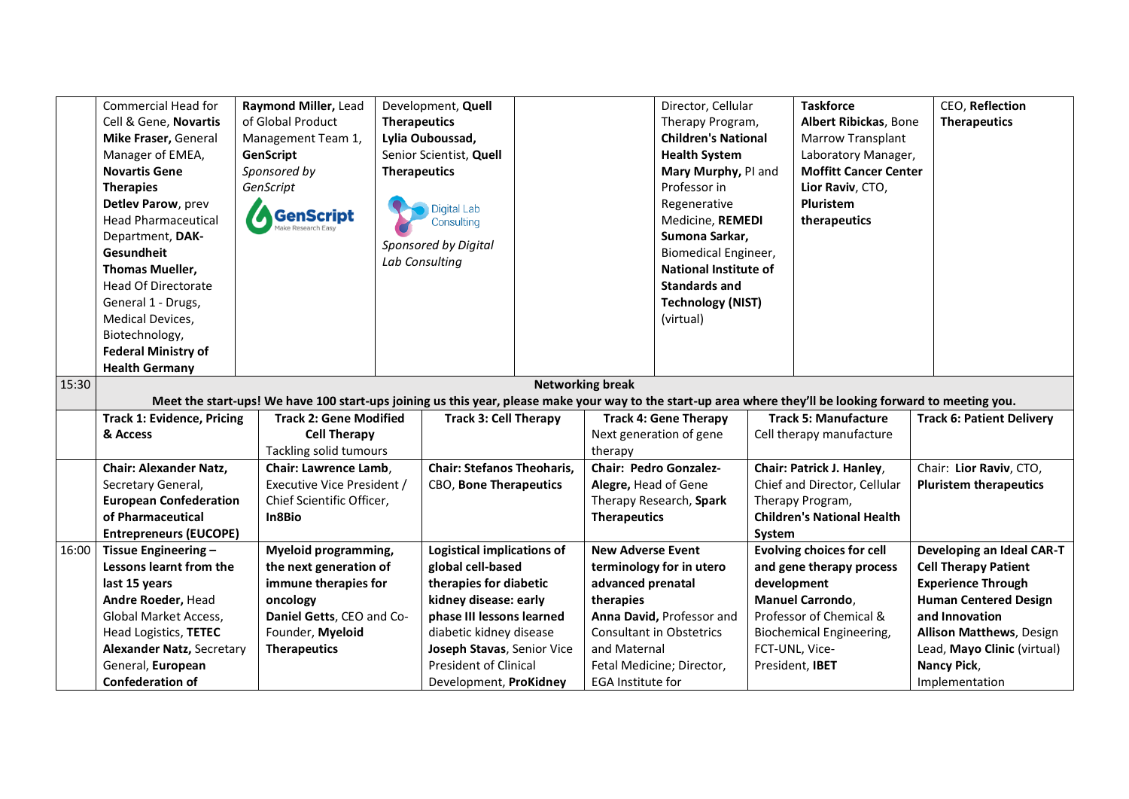|       | Commercial Head for                                                                                                                                        | Raymond Miller, Lead          |                     | Development, Quell                     |  |                          | Director, Cellular              |             | <b>Taskforce</b>                  | CEO, Reflection                  |
|-------|------------------------------------------------------------------------------------------------------------------------------------------------------------|-------------------------------|---------------------|----------------------------------------|--|--------------------------|---------------------------------|-------------|-----------------------------------|----------------------------------|
|       | Cell & Gene, Novartis                                                                                                                                      | of Global Product             | <b>Therapeutics</b> |                                        |  |                          | Therapy Program,                |             | Albert Ribickas, Bone             | <b>Therapeutics</b>              |
|       | Mike Fraser, General                                                                                                                                       | Management Team 1,            |                     | Lylia Ouboussad,                       |  |                          | <b>Children's National</b>      |             | Marrow Transplant                 |                                  |
|       | Manager of EMEA,                                                                                                                                           | GenScript                     |                     | Senior Scientist, Quell                |  |                          | <b>Health System</b>            |             | Laboratory Manager,               |                                  |
|       | <b>Novartis Gene</b>                                                                                                                                       | Sponsored by                  | <b>Therapeutics</b> |                                        |  |                          | Mary Murphy, PI and             |             | <b>Moffitt Cancer Center</b>      |                                  |
|       | <b>Therapies</b>                                                                                                                                           | GenScript                     |                     |                                        |  |                          | Professor in                    |             | Lior Raviv, CTO,                  |                                  |
|       | Detlev Parow, prev                                                                                                                                         |                               |                     | <b>Digital Lab</b>                     |  |                          | Regenerative                    |             | Pluristem                         |                                  |
|       | <b>Head Pharmaceutical</b>                                                                                                                                 | <b>GenScript</b>              |                     | Consulting                             |  |                          | Medicine, REMEDI                |             | therapeutics                      |                                  |
|       | Department, DAK-                                                                                                                                           |                               |                     |                                        |  |                          | Sumona Sarkar,                  |             |                                   |                                  |
|       | Gesundheit                                                                                                                                                 |                               |                     | Sponsored by Digital<br>Lab Consulting |  |                          | Biomedical Engineer,            |             |                                   |                                  |
|       | Thomas Mueller,                                                                                                                                            |                               |                     |                                        |  |                          | <b>National Institute of</b>    |             |                                   |                                  |
|       | <b>Head Of Directorate</b>                                                                                                                                 |                               |                     |                                        |  |                          | <b>Standards and</b>            |             |                                   |                                  |
|       | General 1 - Drugs,                                                                                                                                         |                               |                     |                                        |  |                          | <b>Technology (NIST)</b>        |             |                                   |                                  |
|       | Medical Devices,                                                                                                                                           |                               |                     |                                        |  |                          | (virtual)                       |             |                                   |                                  |
|       | Biotechnology,                                                                                                                                             |                               |                     |                                        |  |                          |                                 |             |                                   |                                  |
|       | <b>Federal Ministry of</b>                                                                                                                                 |                               |                     |                                        |  |                          |                                 |             |                                   |                                  |
|       | <b>Health Germany</b>                                                                                                                                      |                               |                     |                                        |  |                          |                                 |             |                                   |                                  |
| 15:30 | <b>Networking break</b>                                                                                                                                    |                               |                     |                                        |  |                          |                                 |             |                                   |                                  |
|       | Meet the start-ups! We have 100 start-ups joining us this year, please make your way to the start-up area where they'll be looking forward to meeting you. |                               |                     |                                        |  |                          |                                 |             |                                   |                                  |
|       | <b>Track 1: Evidence, Pricing</b>                                                                                                                          | <b>Track 2: Gene Modified</b> |                     | <b>Track 3: Cell Therapy</b>           |  |                          | <b>Track 4: Gene Therapy</b>    |             | <b>Track 5: Manufacture</b>       | <b>Track 6: Patient Delivery</b> |
|       | & Access                                                                                                                                                   | <b>Cell Therapy</b>           |                     |                                        |  |                          | Next generation of gene         |             | Cell therapy manufacture          |                                  |
|       |                                                                                                                                                            | Tackling solid tumours        |                     |                                        |  | therapy                  |                                 |             |                                   |                                  |
|       | <b>Chair: Alexander Natz,</b>                                                                                                                              | Chair: Lawrence Lamb,         |                     | <b>Chair: Stefanos Theoharis,</b>      |  |                          | Chair: Pedro Gonzalez-          |             | Chair: Patrick J. Hanley,         | Chair: Lior Raviv, CTO,          |
|       | Secretary General,                                                                                                                                         | Executive Vice President /    |                     | CBO, Bone Therapeutics                 |  | Alegre, Head of Gene     |                                 |             | Chief and Director, Cellular      | <b>Pluristem therapeutics</b>    |
|       | <b>European Confederation</b>                                                                                                                              | Chief Scientific Officer,     |                     |                                        |  |                          | Therapy Research, Spark         |             | Therapy Program,                  |                                  |
|       | of Pharmaceutical                                                                                                                                          | In8Bio                        |                     |                                        |  | <b>Therapeutics</b>      |                                 |             | <b>Children's National Health</b> |                                  |
|       | <b>Entrepreneurs (EUCOPE)</b>                                                                                                                              |                               |                     |                                        |  |                          |                                 | System      |                                   |                                  |
| 16:00 | Tissue Engineering -                                                                                                                                       | <b>Myeloid programming,</b>   |                     | Logistical implications of             |  | <b>New Adverse Event</b> |                                 |             | <b>Evolving choices for cell</b>  | Developing an Ideal CAR-T        |
|       | Lessons learnt from the                                                                                                                                    | the next generation of        |                     | global cell-based                      |  |                          | terminology for in utero        |             | and gene therapy process          | <b>Cell Therapy Patient</b>      |
|       | last 15 years                                                                                                                                              | immune therapies for          |                     | therapies for diabetic                 |  | advanced prenatal        |                                 | development |                                   | <b>Experience Through</b>        |
|       | Andre Roeder, Head                                                                                                                                         | oncology                      |                     | kidney disease: early                  |  | therapies                |                                 |             | Manuel Carrondo,                  | <b>Human Centered Design</b>     |
|       | Global Market Access,                                                                                                                                      | Daniel Getts, CEO and Co-     |                     | phase III lessons learned              |  |                          | Anna David, Professor and       |             | Professor of Chemical &           | and Innovation                   |
|       | Head Logistics, TETEC                                                                                                                                      | Founder, Myeloid              |                     | diabetic kidney disease                |  |                          | <b>Consultant in Obstetrics</b> |             | <b>Biochemical Engineering,</b>   | <b>Allison Matthews</b> , Design |
|       | <b>Alexander Natz, Secretary</b>                                                                                                                           | <b>Therapeutics</b>           |                     | Joseph Stavas, Senior Vice             |  | and Maternal             |                                 |             | FCT-UNL, Vice-                    | Lead, Mayo Clinic (virtual)      |
|       | General, European                                                                                                                                          |                               |                     | <b>President of Clinical</b>           |  |                          | Fetal Medicine; Director,       |             | President, IBET                   | Nancy Pick,                      |
|       | <b>Confederation of</b>                                                                                                                                    |                               |                     | Development, ProKidney                 |  | <b>EGA Institute for</b> |                                 |             |                                   | Implementation                   |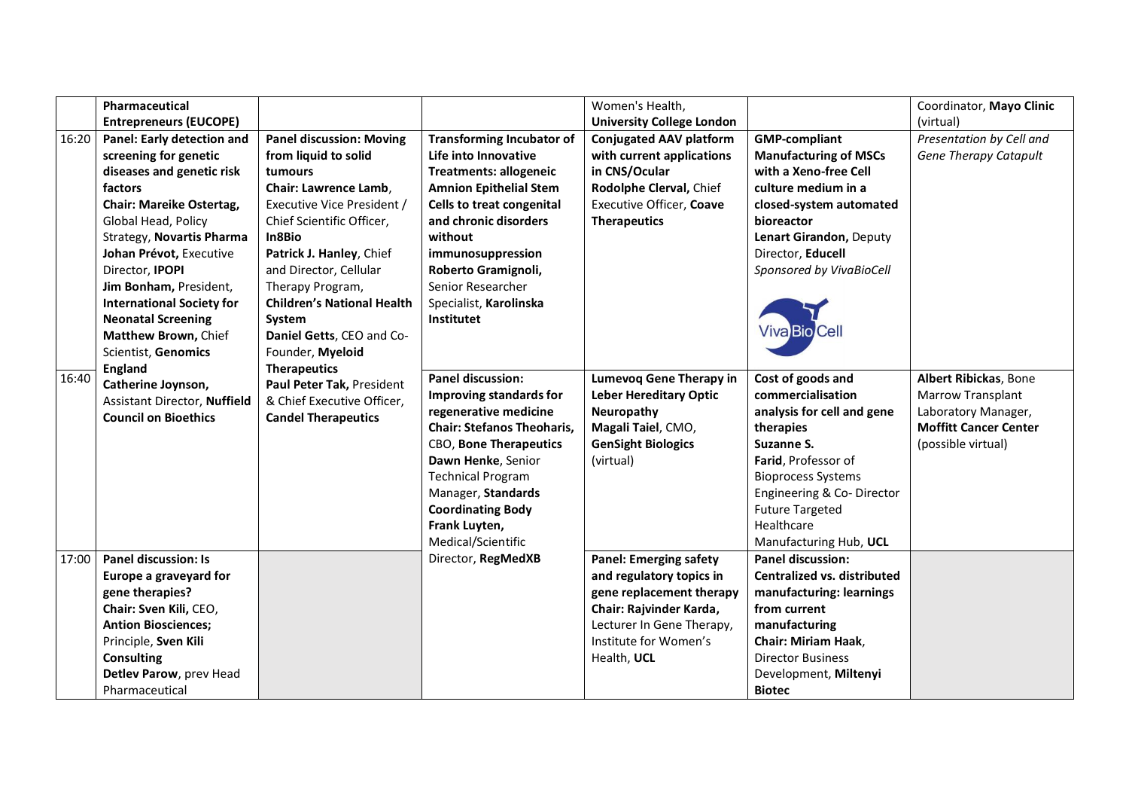|       | Pharmaceutical                      |                                   |                                   | Women's Health,                  |                                    | Coordinator, Mayo Clinic     |
|-------|-------------------------------------|-----------------------------------|-----------------------------------|----------------------------------|------------------------------------|------------------------------|
|       | <b>Entrepreneurs (EUCOPE)</b>       |                                   |                                   | <b>University College London</b> |                                    | (virtual)                    |
| 16:20 | Panel: Early detection and          | <b>Panel discussion: Moving</b>   | <b>Transforming Incubator of</b>  | <b>Conjugated AAV platform</b>   | <b>GMP-compliant</b>               | Presentation by Cell and     |
|       | screening for genetic               | from liquid to solid              | Life into Innovative              | with current applications        | <b>Manufacturing of MSCs</b>       | <b>Gene Therapy Catapult</b> |
|       | diseases and genetic risk           | tumours                           | <b>Treatments: allogeneic</b>     | in CNS/Ocular                    | with a Xeno-free Cell              |                              |
|       | factors                             | Chair: Lawrence Lamb,             | <b>Amnion Epithelial Stem</b>     | Rodolphe Clerval, Chief          | culture medium in a                |                              |
|       | <b>Chair: Mareike Ostertag,</b>     | Executive Vice President /        | Cells to treat congenital         | Executive Officer, Coave         | closed-system automated            |                              |
|       | Global Head, Policy                 | Chief Scientific Officer,         | and chronic disorders             | <b>Therapeutics</b>              | bioreactor                         |                              |
|       | <b>Strategy, Novartis Pharma</b>    | In8Bio                            | without                           |                                  | Lenart Girandon, Deputy            |                              |
|       | Johan Prévot, Executive             | Patrick J. Hanley, Chief          | immunosuppression                 |                                  | Director, Educell                  |                              |
|       | Director, IPOPI                     | and Director, Cellular            | Roberto Gramignoli,               |                                  | Sponsored by VivaBioCell           |                              |
|       | Jim Bonham, President,              | Therapy Program,                  | Senior Researcher                 |                                  |                                    |                              |
|       | <b>International Society for</b>    | <b>Children's National Health</b> | Specialist, Karolinska            |                                  |                                    |                              |
|       | <b>Neonatal Screening</b>           | System                            | Institutet                        |                                  |                                    |                              |
|       | Matthew Brown, Chief                | Daniel Getts, CEO and Co-         |                                   |                                  | <b>Viva Bio Cell</b>               |                              |
|       | <b>Scientist, Genomics</b>          | Founder, Myeloid                  |                                   |                                  |                                    |                              |
| 16:40 | <b>England</b>                      | <b>Therapeutics</b>               | <b>Panel discussion:</b>          | <b>Lumevog Gene Therapy in</b>   | Cost of goods and                  | Albert Ribickas, Bone        |
|       | Catherine Joynson,                  | Paul Peter Tak, President         | <b>Improving standards for</b>    | <b>Leber Hereditary Optic</b>    | commercialisation                  | Marrow Transplant            |
|       | <b>Assistant Director, Nuffield</b> | & Chief Executive Officer,        | regenerative medicine             | Neuropathy                       | analysis for cell and gene         | Laboratory Manager,          |
|       | <b>Council on Bioethics</b>         | <b>Candel Therapeutics</b>        | <b>Chair: Stefanos Theoharis,</b> | Magali Taiel, CMO,               | therapies                          | <b>Moffitt Cancer Center</b> |
|       |                                     |                                   | CBO, Bone Therapeutics            | <b>GenSight Biologics</b>        | Suzanne S.                         | (possible virtual)           |
|       |                                     |                                   | Dawn Henke, Senior                | (virtual)                        | Farid, Professor of                |                              |
|       |                                     |                                   | <b>Technical Program</b>          |                                  | <b>Bioprocess Systems</b>          |                              |
|       |                                     |                                   | Manager, Standards                |                                  | Engineering & Co-Director          |                              |
|       |                                     |                                   | <b>Coordinating Body</b>          |                                  | <b>Future Targeted</b>             |                              |
|       |                                     |                                   | Frank Luyten,                     |                                  | Healthcare                         |                              |
|       |                                     |                                   | Medical/Scientific                |                                  | Manufacturing Hub, UCL             |                              |
| 17:00 | <b>Panel discussion: Is</b>         |                                   | Director, RegMedXB                | <b>Panel: Emerging safety</b>    | <b>Panel discussion:</b>           |                              |
|       | Europe a graveyard for              |                                   |                                   | and regulatory topics in         | <b>Centralized vs. distributed</b> |                              |
|       | gene therapies?                     |                                   |                                   | gene replacement therapy         | manufacturing: learnings           |                              |
|       | Chair: Sven Kili, CEO,              |                                   |                                   | Chair: Rajvinder Karda,          | from current                       |                              |
|       | <b>Antion Biosciences;</b>          |                                   |                                   | Lecturer In Gene Therapy,        | manufacturing                      |                              |
|       | Principle, Sven Kili                |                                   |                                   | Institute for Women's            | <b>Chair: Miriam Haak,</b>         |                              |
|       | <b>Consulting</b>                   |                                   |                                   | Health, UCL                      | <b>Director Business</b>           |                              |
|       | Detlev Parow, prev Head             |                                   |                                   |                                  | Development, Miltenyi              |                              |
|       | Pharmaceutical                      |                                   |                                   |                                  | <b>Biotec</b>                      |                              |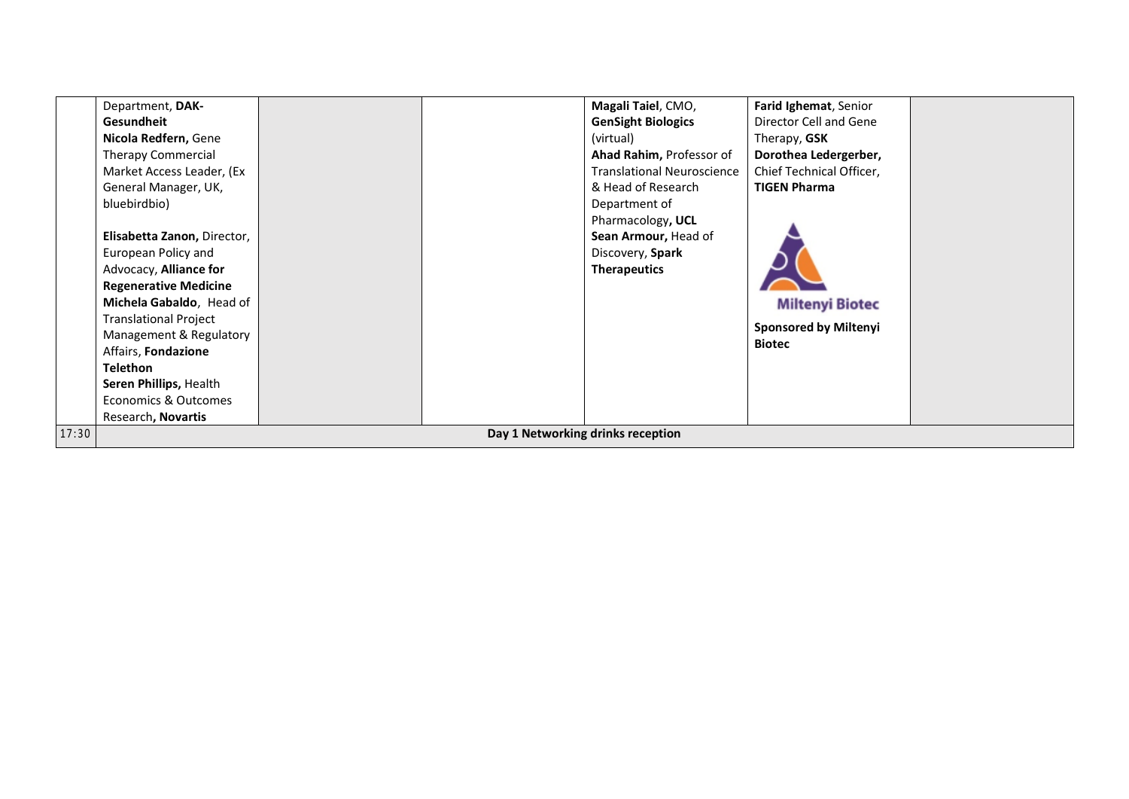|       | Department, DAK-                  |  |  | Magali Taiel, CMO,                | Farid Ighemat, Senior        |  |  |  |  |
|-------|-----------------------------------|--|--|-----------------------------------|------------------------------|--|--|--|--|
|       | Gesundheit                        |  |  | <b>GenSight Biologics</b>         | Director Cell and Gene       |  |  |  |  |
|       | Nicola Redfern, Gene              |  |  | (virtual)                         | Therapy, <b>GSK</b>          |  |  |  |  |
|       | <b>Therapy Commercial</b>         |  |  | Ahad Rahim, Professor of          | Dorothea Ledergerber,        |  |  |  |  |
|       | Market Access Leader, (Ex         |  |  | <b>Translational Neuroscience</b> | Chief Technical Officer,     |  |  |  |  |
|       | General Manager, UK,              |  |  | & Head of Research                | <b>TIGEN Pharma</b>          |  |  |  |  |
|       | bluebirdbio)                      |  |  | Department of                     |                              |  |  |  |  |
|       |                                   |  |  | Pharmacology, UCL                 |                              |  |  |  |  |
|       | Elisabetta Zanon, Director,       |  |  | Sean Armour, Head of              |                              |  |  |  |  |
|       | European Policy and               |  |  | Discovery, Spark                  |                              |  |  |  |  |
|       | Advocacy, Alliance for            |  |  | <b>Therapeutics</b>               |                              |  |  |  |  |
|       | <b>Regenerative Medicine</b>      |  |  |                                   |                              |  |  |  |  |
|       | Michela Gabaldo, Head of          |  |  |                                   | <b>Miltenyi Biotec</b>       |  |  |  |  |
|       | <b>Translational Project</b>      |  |  |                                   | <b>Sponsored by Miltenyi</b> |  |  |  |  |
|       | Management & Regulatory           |  |  |                                   | <b>Biotec</b>                |  |  |  |  |
|       | Affairs, Fondazione               |  |  |                                   |                              |  |  |  |  |
|       | <b>Telethon</b>                   |  |  |                                   |                              |  |  |  |  |
|       | Seren Phillips, Health            |  |  |                                   |                              |  |  |  |  |
|       | Economics & Outcomes              |  |  |                                   |                              |  |  |  |  |
|       | Research, Novartis                |  |  |                                   |                              |  |  |  |  |
| 17:30 | Day 1 Networking drinks reception |  |  |                                   |                              |  |  |  |  |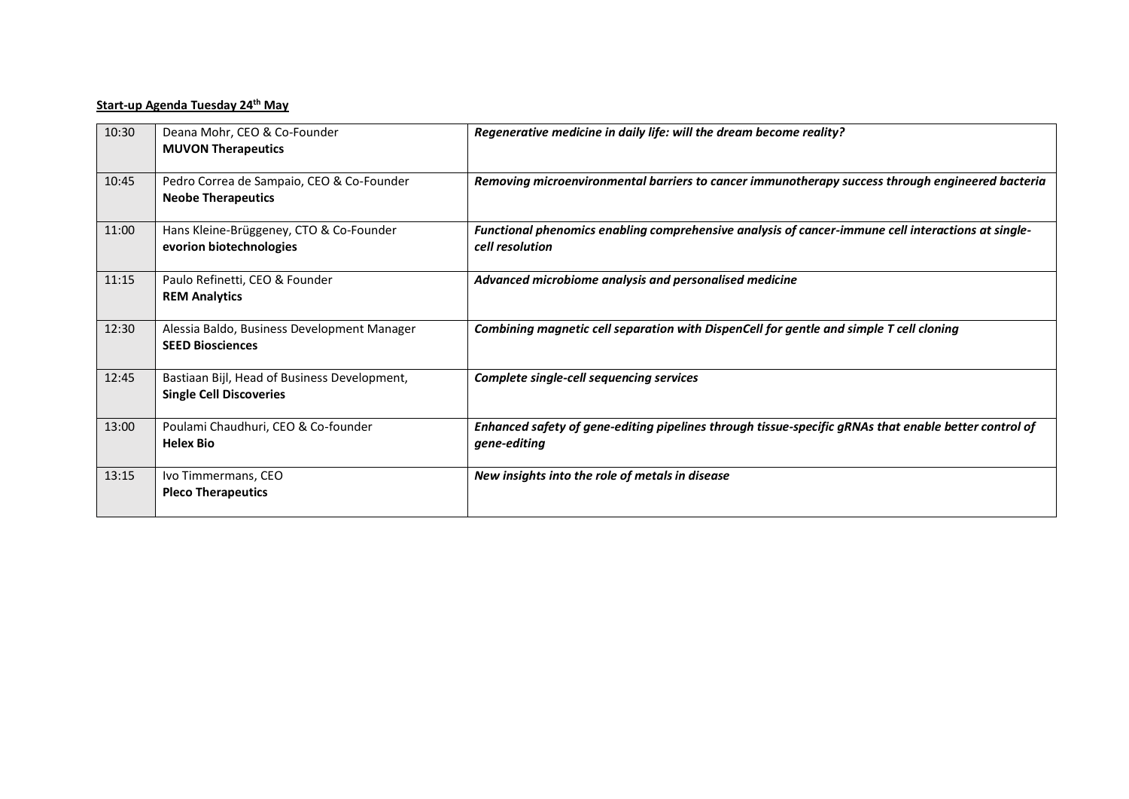## **Start-up Agenda Tuesday 24th May**

| 10:30 | Deana Mohr, CEO & Co-Founder<br><b>MUVON Therapeutics</b>                      | Regenerative medicine in daily life: will the dream become reality?                                                   |
|-------|--------------------------------------------------------------------------------|-----------------------------------------------------------------------------------------------------------------------|
| 10:45 | Pedro Correa de Sampaio, CEO & Co-Founder<br><b>Neobe Therapeutics</b>         | Removing microenvironmental barriers to cancer immunotherapy success through engineered bacteria                      |
| 11:00 | Hans Kleine-Brüggeney, CTO & Co-Founder<br>evorion biotechnologies             | Functional phenomics enabling comprehensive analysis of cancer-immune cell interactions at single-<br>cell resolution |
| 11:15 | Paulo Refinetti, CEO & Founder<br><b>REM Analytics</b>                         | Advanced microbiome analysis and personalised medicine                                                                |
| 12:30 | Alessia Baldo, Business Development Manager<br><b>SEED Biosciences</b>         | Combining magnetic cell separation with DispenCell for gentle and simple T cell cloning                               |
| 12:45 | Bastiaan Bijl, Head of Business Development,<br><b>Single Cell Discoveries</b> | Complete single-cell sequencing services                                                                              |
| 13:00 | Poulami Chaudhuri, CEO & Co-founder<br><b>Helex Bio</b>                        | Enhanced safety of gene-editing pipelines through tissue-specific gRNAs that enable better control of<br>gene-editing |
| 13:15 | Ivo Timmermans, CEO<br><b>Pleco Therapeutics</b>                               | New insights into the role of metals in disease                                                                       |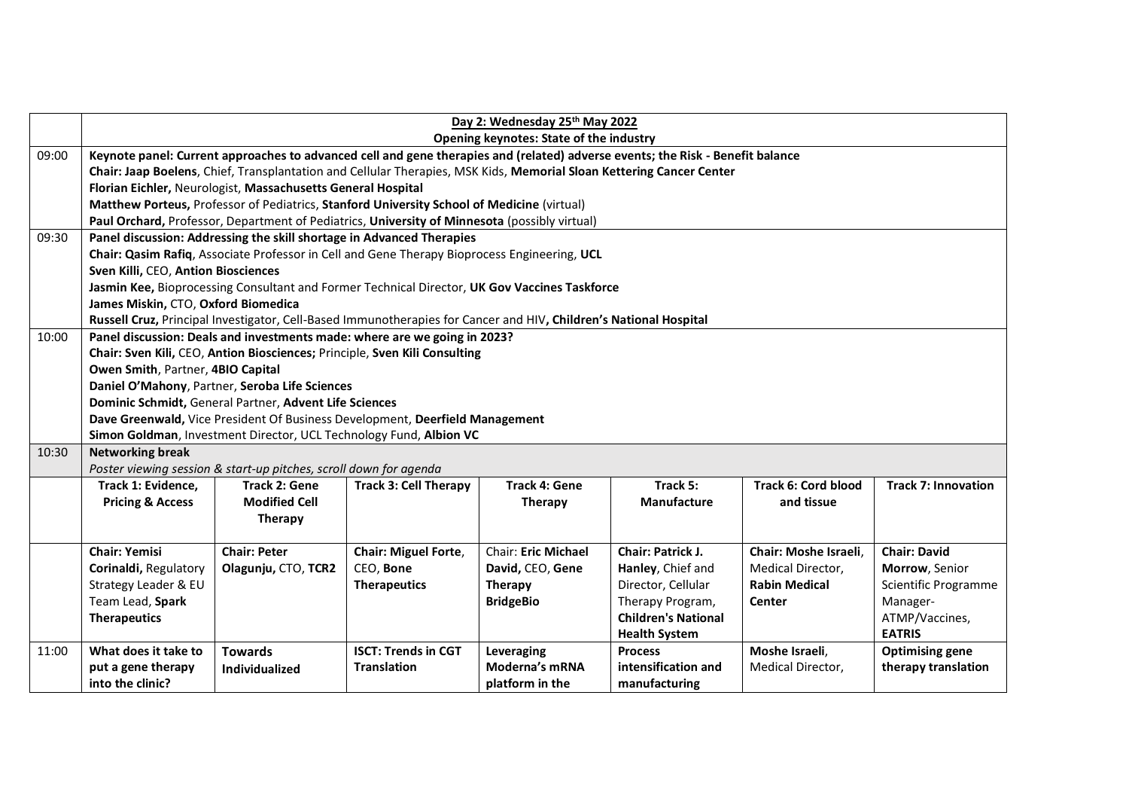|       | Day 2: Wednesday 25th May 2022<br>Opening keynotes: State of the industry  |                                                                   |                                                                                                                      |                            |                                                                                                                                |                            |                            |
|-------|----------------------------------------------------------------------------|-------------------------------------------------------------------|----------------------------------------------------------------------------------------------------------------------|----------------------------|--------------------------------------------------------------------------------------------------------------------------------|----------------------------|----------------------------|
| 09:00 |                                                                            |                                                                   |                                                                                                                      |                            | Keynote panel: Current approaches to advanced cell and gene therapies and (related) adverse events; the Risk - Benefit balance |                            |                            |
|       |                                                                            |                                                                   | Chair: Jaap Boelens, Chief, Transplantation and Cellular Therapies, MSK Kids, Memorial Sloan Kettering Cancer Center |                            |                                                                                                                                |                            |                            |
|       |                                                                            | Florian Eichler, Neurologist, Massachusetts General Hospital      |                                                                                                                      |                            |                                                                                                                                |                            |                            |
|       |                                                                            |                                                                   | Matthew Porteus, Professor of Pediatrics, Stanford University School of Medicine (virtual)                           |                            |                                                                                                                                |                            |                            |
|       |                                                                            |                                                                   | Paul Orchard, Professor, Department of Pediatrics, University of Minnesota (possibly virtual)                        |                            |                                                                                                                                |                            |                            |
| 09:30 |                                                                            |                                                                   | Panel discussion: Addressing the skill shortage in Advanced Therapies                                                |                            |                                                                                                                                |                            |                            |
|       |                                                                            |                                                                   | Chair: Qasim Rafiq, Associate Professor in Cell and Gene Therapy Bioprocess Engineering, UCL                         |                            |                                                                                                                                |                            |                            |
|       | Sven Killi, CEO, Antion Biosciences                                        |                                                                   |                                                                                                                      |                            |                                                                                                                                |                            |                            |
|       |                                                                            |                                                                   | Jasmin Kee, Bioprocessing Consultant and Former Technical Director, UK Gov Vaccines Taskforce                        |                            |                                                                                                                                |                            |                            |
|       | James Miskin, CTO, Oxford Biomedica                                        |                                                                   |                                                                                                                      |                            |                                                                                                                                |                            |                            |
|       |                                                                            |                                                                   | Russell Cruz, Principal Investigator, Cell-Based Immunotherapies for Cancer and HIV, Children's National Hospital    |                            |                                                                                                                                |                            |                            |
| 10:00 | Panel discussion: Deals and investments made: where are we going in 2023?  |                                                                   |                                                                                                                      |                            |                                                                                                                                |                            |                            |
|       | Chair: Sven Kili, CEO, Antion Biosciences; Principle, Sven Kili Consulting |                                                                   |                                                                                                                      |                            |                                                                                                                                |                            |                            |
|       | Owen Smith, Partner, 4BIO Capital                                          |                                                                   |                                                                                                                      |                            |                                                                                                                                |                            |                            |
|       | Daniel O'Mahony, Partner, Seroba Life Sciences                             |                                                                   |                                                                                                                      |                            |                                                                                                                                |                            |                            |
|       | Dominic Schmidt, General Partner, Advent Life Sciences                     |                                                                   |                                                                                                                      |                            |                                                                                                                                |                            |                            |
|       |                                                                            |                                                                   | Dave Greenwald, Vice President Of Business Development, Deerfield Management                                         |                            |                                                                                                                                |                            |                            |
|       |                                                                            |                                                                   | Simon Goldman, Investment Director, UCL Technology Fund, Albion VC                                                   |                            |                                                                                                                                |                            |                            |
| 10:30 | <b>Networking break</b>                                                    |                                                                   |                                                                                                                      |                            |                                                                                                                                |                            |                            |
|       |                                                                            | Poster viewing session & start-up pitches, scroll down for agenda |                                                                                                                      |                            |                                                                                                                                |                            |                            |
|       | Track 1: Evidence,                                                         | <b>Track 2: Gene</b>                                              | <b>Track 3: Cell Therapy</b>                                                                                         | <b>Track 4: Gene</b>       | Track 5:                                                                                                                       | <b>Track 6: Cord blood</b> | <b>Track 7: Innovation</b> |
|       | <b>Pricing &amp; Access</b>                                                | <b>Modified Cell</b>                                              |                                                                                                                      | <b>Therapy</b>             | <b>Manufacture</b>                                                                                                             | and tissue                 |                            |
|       |                                                                            | Therapy                                                           |                                                                                                                      |                            |                                                                                                                                |                            |                            |
|       |                                                                            |                                                                   |                                                                                                                      |                            |                                                                                                                                |                            |                            |
|       | <b>Chair: Yemisi</b>                                                       | <b>Chair: Peter</b>                                               | Chair: Miguel Forte,                                                                                                 | <b>Chair: Eric Michael</b> | <b>Chair: Patrick J.</b>                                                                                                       | Chair: Moshe Israeli,      | <b>Chair: David</b>        |
|       | Corinaldi, Regulatory                                                      | Olagunju, CTO, TCR2                                               | CEO, Bone                                                                                                            | David, CEO, Gene           | Hanley, Chief and                                                                                                              | Medical Director,          | Morrow, Senior             |
|       | Strategy Leader & EU                                                       |                                                                   | <b>Therapeutics</b>                                                                                                  | Therapy                    | Director, Cellular                                                                                                             | <b>Rabin Medical</b>       | Scientific Programme       |
|       | Team Lead, Spark                                                           |                                                                   |                                                                                                                      | <b>BridgeBio</b>           | Therapy Program,                                                                                                               | Center                     | Manager-                   |
|       | <b>Therapeutics</b>                                                        |                                                                   |                                                                                                                      |                            | <b>Children's National</b>                                                                                                     |                            | ATMP/Vaccines,             |
|       |                                                                            |                                                                   |                                                                                                                      |                            | <b>Health System</b>                                                                                                           |                            | <b>EATRIS</b>              |
| 11:00 | What does it take to                                                       | <b>Towards</b>                                                    | <b>ISCT: Trends in CGT</b>                                                                                           | Leveraging                 | <b>Process</b>                                                                                                                 | Moshe Israeli,             | <b>Optimising gene</b>     |
|       | put a gene therapy                                                         | Individualized                                                    | <b>Translation</b>                                                                                                   | Moderna's mRNA             | intensification and                                                                                                            | Medical Director,          | therapy translation        |
|       | into the clinic?                                                           |                                                                   |                                                                                                                      | platform in the            | manufacturing                                                                                                                  |                            |                            |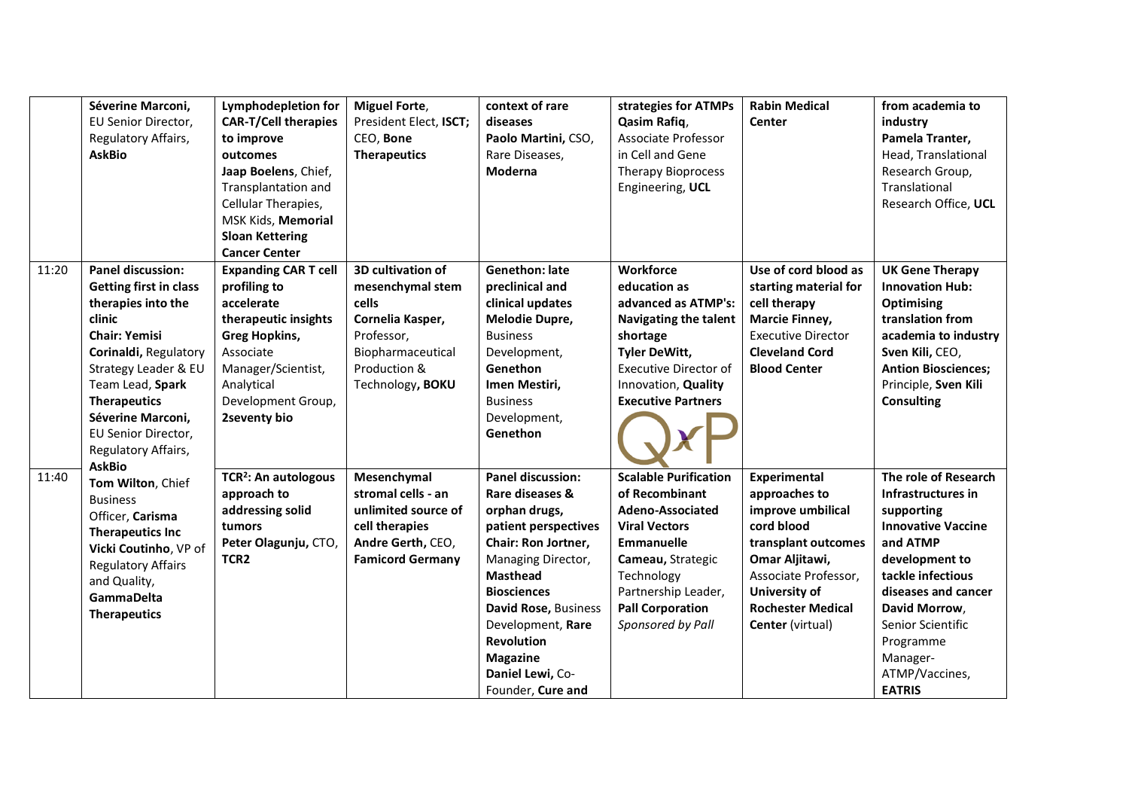|       | Séverine Marconi,<br>EU Senior Director,<br>Regulatory Affairs,<br><b>AskBio</b>                                                                                                                                                                                                 | <b>Lymphodepletion for</b><br><b>CAR-T/Cell therapies</b><br>to improve<br>outcomes<br>Jaap Boelens, Chief,<br>Transplantation and<br>Cellular Therapies,<br>MSK Kids, Memorial<br><b>Sloan Kettering</b><br><b>Cancer Center</b> | <b>Miguel Forte,</b><br>President Elect, ISCT;<br>CEO, Bone<br><b>Therapeutics</b>                                                        | context of rare<br>diseases<br>Paolo Martini, CSO,<br>Rare Diseases,<br>Moderna                                                                                                                                                                                                                          | strategies for ATMPs<br>Qasim Rafiq,<br>Associate Professor<br>in Cell and Gene<br><b>Therapy Bioprocess</b><br>Engineering, UCL                                                                                          | <b>Rabin Medical</b><br>Center                                                                                                                                                                            | from academia to<br>industry<br>Pamela Tranter,<br>Head, Translational<br>Research Group,<br>Translational<br>Research Office, UCL                                                                                                                                |
|-------|----------------------------------------------------------------------------------------------------------------------------------------------------------------------------------------------------------------------------------------------------------------------------------|-----------------------------------------------------------------------------------------------------------------------------------------------------------------------------------------------------------------------------------|-------------------------------------------------------------------------------------------------------------------------------------------|----------------------------------------------------------------------------------------------------------------------------------------------------------------------------------------------------------------------------------------------------------------------------------------------------------|---------------------------------------------------------------------------------------------------------------------------------------------------------------------------------------------------------------------------|-----------------------------------------------------------------------------------------------------------------------------------------------------------------------------------------------------------|-------------------------------------------------------------------------------------------------------------------------------------------------------------------------------------------------------------------------------------------------------------------|
| 11:20 | <b>Panel discussion:</b><br><b>Getting first in class</b><br>therapies into the<br>clinic<br><b>Chair: Yemisi</b><br>Corinaldi, Regulatory<br>Strategy Leader & EU<br>Team Lead, Spark<br><b>Therapeutics</b><br>Séverine Marconi,<br>EU Senior Director,<br>Regulatory Affairs, | <b>Expanding CAR T cell</b><br>profiling to<br>accelerate<br>therapeutic insights<br><b>Greg Hopkins,</b><br>Associate<br>Manager/Scientist,<br>Analytical<br>Development Group,<br>2seventy bio                                  | 3D cultivation of<br>mesenchymal stem<br>cells<br>Cornelia Kasper,<br>Professor,<br>Biopharmaceutical<br>Production &<br>Technology, BOKU | <b>Genethon: late</b><br>preclinical and<br>clinical updates<br>Melodie Dupre,<br><b>Business</b><br>Development,<br>Genethon<br>Imen Mestiri,<br><b>Business</b><br>Development,<br>Genethon                                                                                                            | Workforce<br>education as<br>advanced as ATMP's:<br><b>Navigating the talent</b><br>shortage<br><b>Tyler DeWitt,</b><br><b>Executive Director of</b><br>Innovation, Quality<br><b>Executive Partners</b>                  | Use of cord blood as<br>starting material for<br>cell therapy<br><b>Marcie Finney,</b><br><b>Executive Director</b><br><b>Cleveland Cord</b><br><b>Blood Center</b>                                       | <b>UK Gene Therapy</b><br><b>Innovation Hub:</b><br><b>Optimising</b><br>translation from<br>academia to industry<br>Sven Kili, CEO,<br><b>Antion Biosciences;</b><br>Principle, Sven Kili<br><b>Consulting</b>                                                   |
| 11:40 | <b>AskBio</b><br>Tom Wilton, Chief<br><b>Business</b><br>Officer, Carisma<br><b>Therapeutics Inc</b><br>Vicki Coutinho, VP of<br><b>Regulatory Affairs</b><br>and Quality,<br><b>GammaDelta</b><br><b>Therapeutics</b>                                                           | TCR <sup>2</sup> : An autologous<br>approach to<br>addressing solid<br>tumors<br>Peter Olagunju, CTO,<br>TCR <sub>2</sub>                                                                                                         | Mesenchymal<br>stromal cells - an<br>unlimited source of<br>cell therapies<br>Andre Gerth, CEO,<br><b>Famicord Germany</b>                | <b>Panel discussion:</b><br>Rare diseases &<br>orphan drugs,<br>patient perspectives<br>Chair: Ron Jortner,<br>Managing Director,<br><b>Masthead</b><br><b>Biosciences</b><br>David Rose, Business<br>Development, Rare<br><b>Revolution</b><br><b>Magazine</b><br>Daniel Lewi, Co-<br>Founder, Cure and | <b>Scalable Purification</b><br>of Recombinant<br>Adeno-Associated<br><b>Viral Vectors</b><br><b>Emmanuelle</b><br>Cameau, Strategic<br>Technology<br>Partnership Leader,<br><b>Pall Corporation</b><br>Sponsored by Pall | <b>Experimental</b><br>approaches to<br>improve umbilical<br>cord blood<br>transplant outcomes<br>Omar Aljitawi,<br>Associate Professor,<br>University of<br><b>Rochester Medical</b><br>Center (virtual) | The role of Research<br>Infrastructures in<br>supporting<br><b>Innovative Vaccine</b><br>and ATMP<br>development to<br>tackle infectious<br>diseases and cancer<br>David Morrow,<br>Senior Scientific<br>Programme<br>Manager-<br>ATMP/Vaccines,<br><b>EATRIS</b> |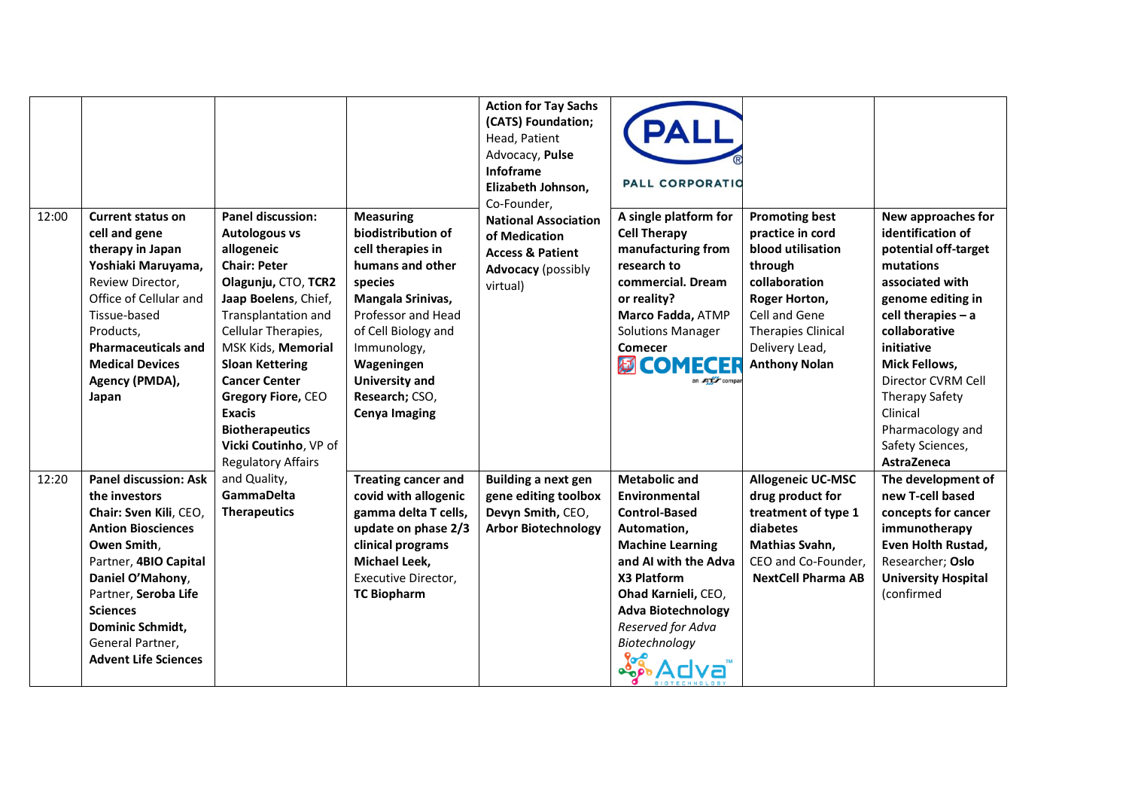| 12:00 | <b>Current status on</b><br>cell and gene<br>therapy in Japan<br>Yoshiaki Maruyama,<br>Review Director,<br>Office of Cellular and<br>Tissue-based<br>Products,<br><b>Pharmaceuticals and</b><br><b>Medical Devices</b><br>Agency (PMDA),<br>Japan                                  | <b>Panel discussion:</b><br><b>Autologous vs</b><br>allogeneic<br><b>Chair: Peter</b><br>Olagunju, CTO, TCR2<br>Jaap Boelens, Chief,<br>Transplantation and<br>Cellular Therapies,<br>MSK Kids, Memorial<br><b>Sloan Kettering</b><br><b>Cancer Center</b><br>Gregory Fiore, CEO<br><b>Exacis</b><br><b>Biotherapeutics</b><br>Vicki Coutinho, VP of<br><b>Regulatory Affairs</b> | <b>Measuring</b><br>biodistribution of<br>cell therapies in<br>humans and other<br>species<br>Mangala Srinivas,<br>Professor and Head<br>of Cell Biology and<br>Immunology,<br>Wageningen<br><b>University and</b><br>Research; CSO,<br><b>Cenya Imaging</b> | <b>Action for Tay Sachs</b><br>(CATS) Foundation;<br>Head, Patient<br>Advocacy, Pulse<br>Infoframe<br>Elizabeth Johnson,<br>Co-Founder,<br><b>National Association</b><br>of Medication<br><b>Access &amp; Patient</b><br><b>Advocacy</b> (possibly<br>virtual) | <b>PALL CORPORATIO</b><br>A single platform for<br><b>Cell Therapy</b><br>manufacturing from<br>research to<br>commercial. Dream<br>or reality?<br>Marco Fadda, ATMP<br><b>Solutions Manager</b><br><b>Comecer</b><br><b>例COMECER</b><br>an <b>ATL</b> compar | <b>Promoting best</b><br>practice in cord<br>blood utilisation<br>through<br>collaboration<br>Roger Horton,<br>Cell and Gene<br><b>Therapies Clinical</b><br>Delivery Lead,<br><b>Anthony Nolan</b> | New approaches for<br>identification of<br>potential off-target<br>mutations<br>associated with<br>genome editing in<br>cell therapies $- a$<br>collaborative<br>initiative<br><b>Mick Fellows,</b><br>Director CVRM Cell<br><b>Therapy Safety</b><br>Clinical<br>Pharmacology and<br>Safety Sciences,<br>AstraZeneca |
|-------|------------------------------------------------------------------------------------------------------------------------------------------------------------------------------------------------------------------------------------------------------------------------------------|-----------------------------------------------------------------------------------------------------------------------------------------------------------------------------------------------------------------------------------------------------------------------------------------------------------------------------------------------------------------------------------|--------------------------------------------------------------------------------------------------------------------------------------------------------------------------------------------------------------------------------------------------------------|-----------------------------------------------------------------------------------------------------------------------------------------------------------------------------------------------------------------------------------------------------------------|---------------------------------------------------------------------------------------------------------------------------------------------------------------------------------------------------------------------------------------------------------------|-----------------------------------------------------------------------------------------------------------------------------------------------------------------------------------------------------|-----------------------------------------------------------------------------------------------------------------------------------------------------------------------------------------------------------------------------------------------------------------------------------------------------------------------|
| 12:20 | <b>Panel discussion: Ask</b><br>the investors<br>Chair: Sven Kili, CEO,<br><b>Antion Biosciences</b><br>Owen Smith,<br>Partner, 4BIO Capital<br>Daniel O'Mahony,<br>Partner, Seroba Life<br><b>Sciences</b><br>Dominic Schmidt,<br>General Partner,<br><b>Advent Life Sciences</b> | and Quality,<br><b>GammaDelta</b><br><b>Therapeutics</b>                                                                                                                                                                                                                                                                                                                          | <b>Treating cancer and</b><br>covid with allogenic<br>gamma delta T cells,<br>update on phase 2/3<br>clinical programs<br>Michael Leek,<br>Executive Director,<br><b>TC Biopharm</b>                                                                         | <b>Building a next gen</b><br>gene editing toolbox<br>Devyn Smith, CEO,<br><b>Arbor Biotechnology</b>                                                                                                                                                           | <b>Metabolic and</b><br>Environmental<br><b>Control-Based</b><br>Automation,<br><b>Machine Learning</b><br>and AI with the Adva<br>X3 Platform<br>Ohad Karnieli, CEO,<br><b>Adva Biotechnology</b><br>Reserved for Adva<br>Biotechnology                      | <b>Allogeneic UC-MSC</b><br>drug product for<br>treatment of type 1<br>diabetes<br>Mathias Svahn,<br>CEO and Co-Founder,<br><b>NextCell Pharma AB</b>                                               | The development of<br>new T-cell based<br>concepts for cancer<br>immunotherapy<br>Even Holth Rustad,<br>Researcher; Oslo<br><b>University Hospital</b><br>(confirmed                                                                                                                                                  |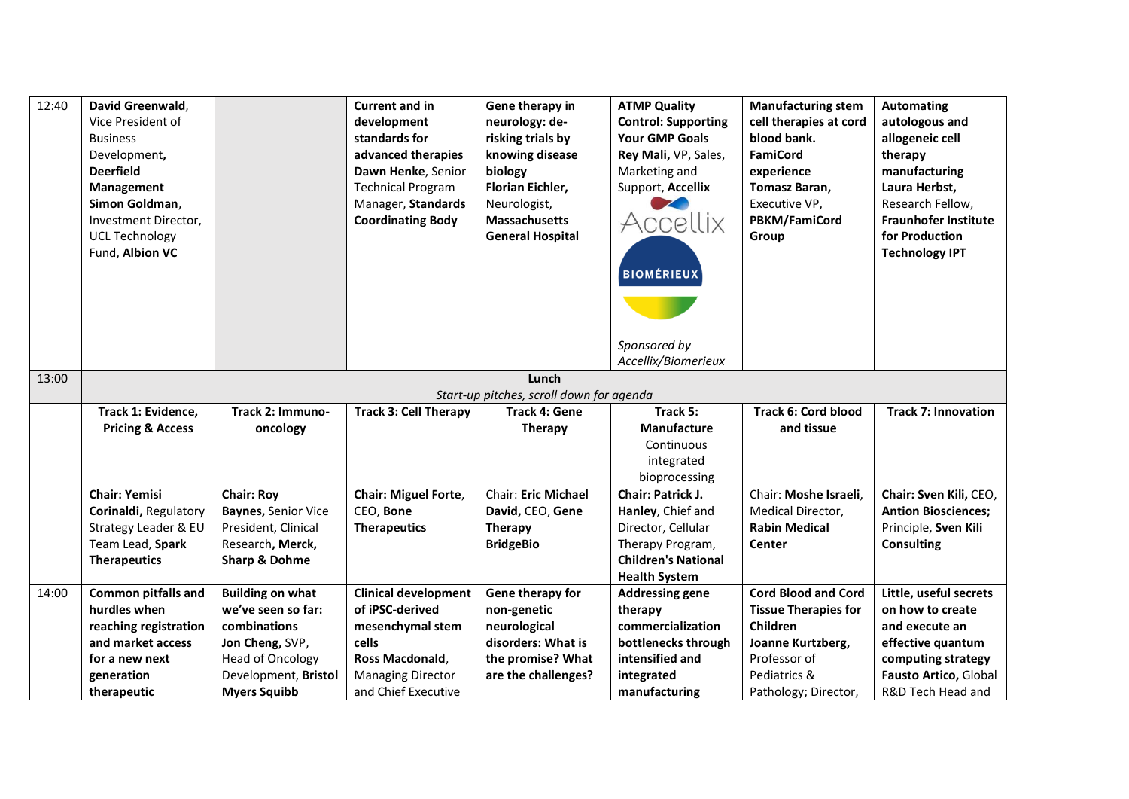| 12:40 | David Greenwald,<br>Vice President of<br><b>Business</b><br>Development,<br><b>Deerfield</b><br>Management<br>Simon Goldman, |                            | <b>Current and in</b><br>development<br>standards for<br>advanced therapies<br>Dawn Henke, Senior<br><b>Technical Program</b><br>Manager, Standards | Gene therapy in<br>neurology: de-<br>risking trials by<br>knowing disease<br>biology<br><b>Florian Eichler,</b><br>Neurologist, | <b>ATMP Quality</b><br><b>Control: Supporting</b><br><b>Your GMP Goals</b><br>Rey Mali, VP, Sales,<br>Marketing and<br>Support, Accellix | <b>Manufacturing stem</b><br>cell therapies at cord<br>blood bank.<br><b>FamiCord</b><br>experience<br>Tomasz Baran,<br>Executive VP, | <b>Automating</b><br>autologous and<br>allogeneic cell<br>therapy<br>manufacturing<br>Laura Herbst,<br>Research Fellow, |
|-------|------------------------------------------------------------------------------------------------------------------------------|----------------------------|-----------------------------------------------------------------------------------------------------------------------------------------------------|---------------------------------------------------------------------------------------------------------------------------------|------------------------------------------------------------------------------------------------------------------------------------------|---------------------------------------------------------------------------------------------------------------------------------------|-------------------------------------------------------------------------------------------------------------------------|
|       | Investment Director,<br><b>UCL Technology</b><br>Fund, Albion VC                                                             |                            | <b>Coordinating Body</b>                                                                                                                            | <b>Massachusetts</b><br><b>General Hospital</b>                                                                                 | Accellix<br><b>BIOMÉRIEUX</b>                                                                                                            | PBKM/FamiCord<br>Group                                                                                                                | <b>Fraunhofer Institute</b><br>for Production<br><b>Technology IPT</b>                                                  |
|       |                                                                                                                              |                            |                                                                                                                                                     |                                                                                                                                 | Sponsored by<br>Accellix/Biomerieux                                                                                                      |                                                                                                                                       |                                                                                                                         |
| 13:00 |                                                                                                                              |                            |                                                                                                                                                     | Lunch                                                                                                                           |                                                                                                                                          |                                                                                                                                       |                                                                                                                         |
|       |                                                                                                                              |                            |                                                                                                                                                     | Start-up pitches, scroll down for agenda                                                                                        |                                                                                                                                          |                                                                                                                                       |                                                                                                                         |
|       | Track 1: Evidence,                                                                                                           | Track 2: Immuno-           | <b>Track 3: Cell Therapy</b>                                                                                                                        | <b>Track 4: Gene</b>                                                                                                            | Track 5:                                                                                                                                 | <b>Track 6: Cord blood</b>                                                                                                            | <b>Track 7: Innovation</b>                                                                                              |
|       | <b>Pricing &amp; Access</b>                                                                                                  | oncology                   |                                                                                                                                                     | Therapy                                                                                                                         | <b>Manufacture</b>                                                                                                                       | and tissue                                                                                                                            |                                                                                                                         |
|       |                                                                                                                              |                            |                                                                                                                                                     |                                                                                                                                 | Continuous                                                                                                                               |                                                                                                                                       |                                                                                                                         |
|       |                                                                                                                              |                            |                                                                                                                                                     |                                                                                                                                 | integrated                                                                                                                               |                                                                                                                                       |                                                                                                                         |
|       | <b>Chair: Yemisi</b>                                                                                                         | <b>Chair: Roy</b>          | <b>Chair: Miguel Forte,</b>                                                                                                                         | <b>Chair: Eric Michael</b>                                                                                                      | bioprocessing<br>Chair: Patrick J.                                                                                                       | Chair: Moshe Israeli,                                                                                                                 | Chair: Sven Kili, CEO,                                                                                                  |
|       | Corinaldi, Regulatory                                                                                                        | <b>Baynes, Senior Vice</b> | CEO, Bone                                                                                                                                           | David, CEO, Gene                                                                                                                | Hanley, Chief and                                                                                                                        | Medical Director,                                                                                                                     | <b>Antion Biosciences;</b>                                                                                              |
|       | Strategy Leader & EU                                                                                                         | President, Clinical        | <b>Therapeutics</b>                                                                                                                                 | <b>Therapy</b>                                                                                                                  | Director, Cellular                                                                                                                       | <b>Rabin Medical</b>                                                                                                                  | Principle, Sven Kili                                                                                                    |
|       | Team Lead, Spark                                                                                                             | Research, Merck,           |                                                                                                                                                     | <b>BridgeBio</b>                                                                                                                | Therapy Program,                                                                                                                         | <b>Center</b>                                                                                                                         | <b>Consulting</b>                                                                                                       |
|       | <b>Therapeutics</b>                                                                                                          | <b>Sharp &amp; Dohme</b>   |                                                                                                                                                     |                                                                                                                                 | <b>Children's National</b>                                                                                                               |                                                                                                                                       |                                                                                                                         |
|       |                                                                                                                              |                            |                                                                                                                                                     |                                                                                                                                 | <b>Health System</b>                                                                                                                     |                                                                                                                                       |                                                                                                                         |
| 14:00 | <b>Common pitfalls and</b>                                                                                                   | <b>Building on what</b>    | <b>Clinical development</b>                                                                                                                         | Gene therapy for                                                                                                                | <b>Addressing gene</b>                                                                                                                   | <b>Cord Blood and Cord</b>                                                                                                            | Little, useful secrets                                                                                                  |
|       | hurdles when                                                                                                                 | we've seen so far:         | of iPSC-derived                                                                                                                                     | non-genetic                                                                                                                     | therapy                                                                                                                                  | <b>Tissue Therapies for</b>                                                                                                           | on how to create                                                                                                        |
|       | reaching registration                                                                                                        | combinations               | mesenchymal stem                                                                                                                                    | neurological                                                                                                                    | commercialization                                                                                                                        | Children                                                                                                                              | and execute an                                                                                                          |
|       | and market access                                                                                                            | Jon Cheng, SVP,            | cells                                                                                                                                               | disorders: What is                                                                                                              | bottlenecks through                                                                                                                      | Joanne Kurtzberg,                                                                                                                     | effective quantum                                                                                                       |
|       | for a new next                                                                                                               | <b>Head of Oncology</b>    | Ross Macdonald,                                                                                                                                     | the promise? What                                                                                                               | intensified and                                                                                                                          | Professor of                                                                                                                          | computing strategy                                                                                                      |
|       | generation                                                                                                                   | Development, Bristol       | <b>Managing Director</b>                                                                                                                            | are the challenges?                                                                                                             | integrated                                                                                                                               | Pediatrics &                                                                                                                          | Fausto Artico, Global                                                                                                   |
|       |                                                                                                                              |                            |                                                                                                                                                     |                                                                                                                                 |                                                                                                                                          |                                                                                                                                       |                                                                                                                         |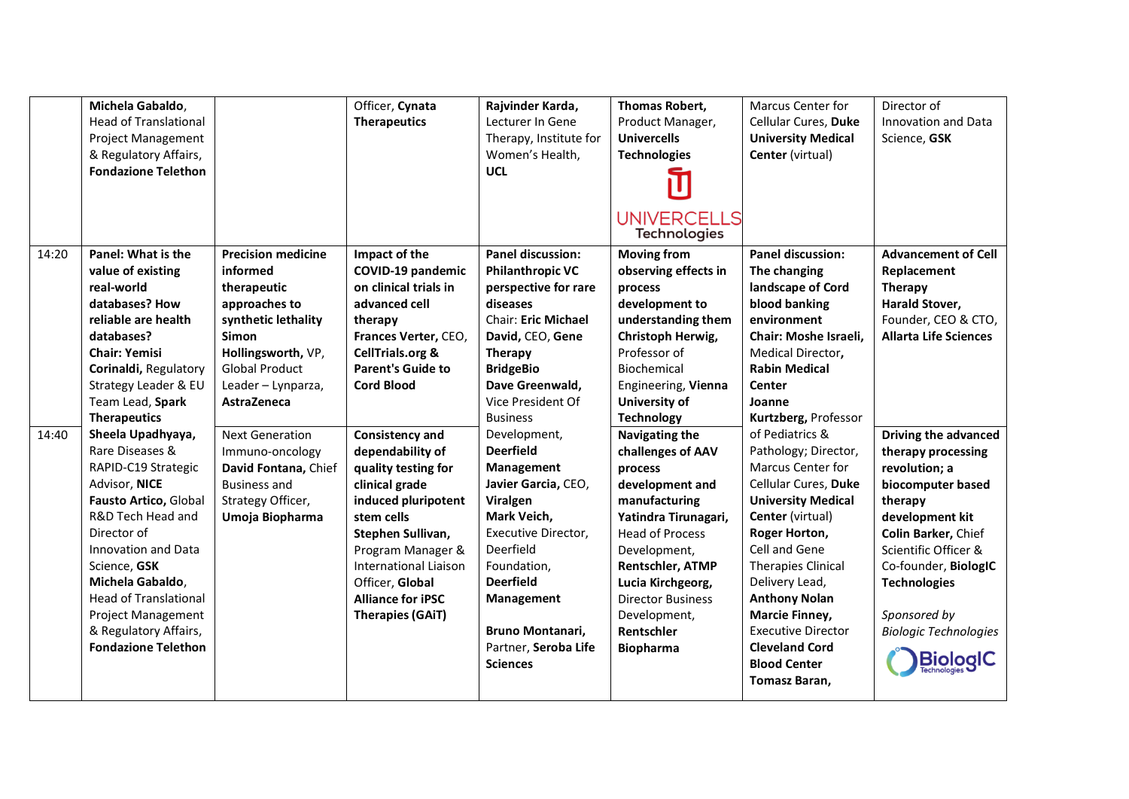|       | Michela Gabaldo,<br><b>Head of Translational</b><br><b>Project Management</b><br>& Regulatory Affairs,<br><b>Fondazione Telethon</b>                                                                                                                                                                                     |                                                                                                                                                                                           | Officer, Cynata<br><b>Therapeutics</b>                                                                                                                                                                                                                                | Rajvinder Karda,<br>Lecturer In Gene<br>Therapy, Institute for<br>Women's Health,<br><b>UCL</b>                                                                                                                                                      | Thomas Robert,<br>Product Manager,<br><b>Univercells</b><br><b>Technologies</b><br><b>UNIVERCELLS</b><br><b>Technologies</b>                                                                                                                                                       | Marcus Center for<br>Cellular Cures, Duke<br><b>University Medical</b><br>Center (virtual)                                                                                                                                                                                                                                                                            | Director of<br>Innovation and Data<br>Science, GSK                                                                                                                                                                                                           |
|-------|--------------------------------------------------------------------------------------------------------------------------------------------------------------------------------------------------------------------------------------------------------------------------------------------------------------------------|-------------------------------------------------------------------------------------------------------------------------------------------------------------------------------------------|-----------------------------------------------------------------------------------------------------------------------------------------------------------------------------------------------------------------------------------------------------------------------|------------------------------------------------------------------------------------------------------------------------------------------------------------------------------------------------------------------------------------------------------|------------------------------------------------------------------------------------------------------------------------------------------------------------------------------------------------------------------------------------------------------------------------------------|-----------------------------------------------------------------------------------------------------------------------------------------------------------------------------------------------------------------------------------------------------------------------------------------------------------------------------------------------------------------------|--------------------------------------------------------------------------------------------------------------------------------------------------------------------------------------------------------------------------------------------------------------|
| 14:20 | Panel: What is the<br>value of existing<br>real-world<br>databases? How<br>reliable are health<br>databases?<br><b>Chair: Yemisi</b><br>Corinaldi, Regulatory<br>Strategy Leader & EU<br>Team Lead, Spark<br><b>Therapeutics</b>                                                                                         | <b>Precision medicine</b><br>informed<br>therapeutic<br>approaches to<br>synthetic lethality<br>Simon<br>Hollingsworth, VP,<br><b>Global Product</b><br>Leader - Lynparza,<br>AstraZeneca | Impact of the<br>COVID-19 pandemic<br>on clinical trials in<br>advanced cell<br>therapy<br>Frances Verter, CEO,<br><b>CellTrials.org &amp;</b><br><b>Parent's Guide to</b><br><b>Cord Blood</b>                                                                       | <b>Panel discussion:</b><br><b>Philanthropic VC</b><br>perspective for rare<br>diseases<br><b>Chair: Eric Michael</b><br>David, CEO, Gene<br>Therapy<br><b>BridgeBio</b><br>Dave Greenwald,<br>Vice President Of<br><b>Business</b>                  | <b>Moving from</b><br>observing effects in<br>process<br>development to<br>understanding them<br>Christoph Herwig,<br>Professor of<br>Biochemical<br>Engineering, Vienna<br>University of<br><b>Technology</b>                                                                     | <b>Panel discussion:</b><br>The changing<br>landscape of Cord<br>blood banking<br>environment<br>Chair: Moshe Israeli,<br>Medical Director,<br><b>Rabin Medical</b><br>Center<br>Joanne<br>Kurtzberg, Professor                                                                                                                                                       | <b>Advancement of Cell</b><br>Replacement<br>Therapy<br>Harald Stover,<br>Founder, CEO & CTO,<br><b>Allarta Life Sciences</b>                                                                                                                                |
| 14:40 | Sheela Upadhyaya,<br>Rare Diseases &<br>RAPID-C19 Strategic<br>Advisor, NICE<br>Fausto Artico, Global<br>R&D Tech Head and<br>Director of<br>Innovation and Data<br>Science, GSK<br>Michela Gabaldo,<br><b>Head of Translational</b><br><b>Project Management</b><br>& Regulatory Affairs,<br><b>Fondazione Telethon</b> | <b>Next Generation</b><br>Immuno-oncology<br>David Fontana, Chief<br><b>Business and</b><br>Strategy Officer,<br>Umoja Biopharma                                                          | Consistency and<br>dependability of<br>quality testing for<br>clinical grade<br>induced pluripotent<br>stem cells<br>Stephen Sullivan,<br>Program Manager &<br><b>International Liaison</b><br>Officer, Global<br><b>Alliance for iPSC</b><br><b>Therapies (GAIT)</b> | Development,<br><b>Deerfield</b><br>Management<br>Javier Garcia, CEO,<br>Viralgen<br>Mark Veich,<br>Executive Director,<br>Deerfield<br>Foundation,<br><b>Deerfield</b><br>Management<br>Bruno Montanari,<br>Partner, Seroba Life<br><b>Sciences</b> | <b>Navigating the</b><br>challenges of AAV<br>process<br>development and<br>manufacturing<br>Yatindra Tirunagari,<br><b>Head of Process</b><br>Development,<br>Rentschler, ATMP<br>Lucia Kirchgeorg,<br><b>Director Business</b><br>Development,<br>Rentschler<br><b>Biopharma</b> | of Pediatrics &<br>Pathology; Director,<br>Marcus Center for<br>Cellular Cures, Duke<br><b>University Medical</b><br>Center (virtual)<br>Roger Horton,<br>Cell and Gene<br><b>Therapies Clinical</b><br>Delivery Lead,<br><b>Anthony Nolan</b><br><b>Marcie Finney,</b><br><b>Executive Director</b><br><b>Cleveland Cord</b><br><b>Blood Center</b><br>Tomasz Baran, | Driving the advanced<br>therapy processing<br>revolution; a<br>biocomputer based<br>therapy<br>development kit<br>Colin Barker, Chief<br>Scientific Officer &<br>Co-founder, BiologIC<br><b>Technologies</b><br>Sponsored by<br><b>Biologic Technologies</b> |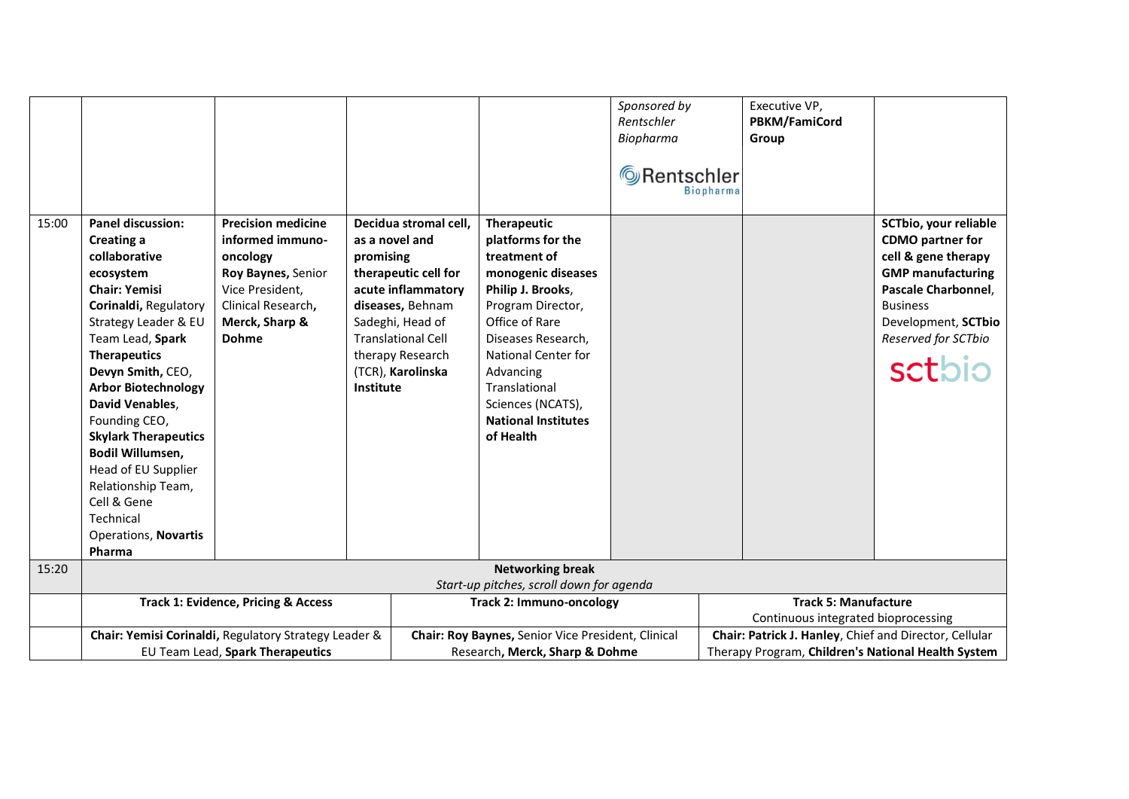|       |                                                                                                                                                                                                                                                                                                                                                                                                                                                      |                                                                                                                                                            |                                          |                                                                                                                                                                                   |                                                                                                                                                                                                                                                                                             | Sponsored by<br>Rentschler<br>Biopharma<br>Rentschler<br><b>Biopharma</b> | Executive VP,<br>PBKM/FamiCord<br>Group                            |                                                                                                                                                                                                       |
|-------|------------------------------------------------------------------------------------------------------------------------------------------------------------------------------------------------------------------------------------------------------------------------------------------------------------------------------------------------------------------------------------------------------------------------------------------------------|------------------------------------------------------------------------------------------------------------------------------------------------------------|------------------------------------------|-----------------------------------------------------------------------------------------------------------------------------------------------------------------------------------|---------------------------------------------------------------------------------------------------------------------------------------------------------------------------------------------------------------------------------------------------------------------------------------------|---------------------------------------------------------------------------|--------------------------------------------------------------------|-------------------------------------------------------------------------------------------------------------------------------------------------------------------------------------------------------|
| 15:00 | <b>Panel discussion:</b><br>Creating a<br>collaborative<br>ecosystem<br><b>Chair: Yemisi</b><br>Corinaldi, Regulatory<br>Strategy Leader & EU<br>Team Lead, Spark<br><b>Therapeutics</b><br>Devyn Smith, CEO,<br><b>Arbor Biotechnology</b><br>David Venables,<br>Founding CEO,<br><b>Skylark Therapeutics</b><br>Bodil Willumsen,<br>Head of EU Supplier<br>Relationship Team,<br>Cell & Gene<br>Technical<br><b>Operations, Novartis</b><br>Pharma | <b>Precision medicine</b><br>informed immuno-<br>oncology<br>Roy Baynes, Senior<br>Vice President,<br>Clinical Research,<br>Merck, Sharp &<br><b>Dohme</b> | as a novel and<br>promising<br>Institute | Decidua stromal cell,<br>therapeutic cell for<br>acute inflammatory<br>diseases, Behnam<br>Sadeghi, Head of<br><b>Translational Cell</b><br>therapy Research<br>(TCR), Karolinska | <b>Therapeutic</b><br>platforms for the<br>treatment of<br>monogenic diseases<br>Philip J. Brooks,<br>Program Director,<br>Office of Rare<br>Diseases Research,<br><b>National Center for</b><br>Advancing<br>Translational<br>Sciences (NCATS),<br><b>National Institutes</b><br>of Health |                                                                           |                                                                    | SCTbio, your reliable<br><b>CDMO</b> partner for<br>cell & gene therapy<br><b>GMP</b> manufacturing<br>Pascale Charbonnel,<br><b>Business</b><br>Development, SCTbio<br>Reserved for SCTbio<br>sctbio |
| 15:20 |                                                                                                                                                                                                                                                                                                                                                                                                                                                      |                                                                                                                                                            |                                          |                                                                                                                                                                                   | <b>Networking break</b>                                                                                                                                                                                                                                                                     |                                                                           |                                                                    |                                                                                                                                                                                                       |
|       |                                                                                                                                                                                                                                                                                                                                                                                                                                                      |                                                                                                                                                            |                                          |                                                                                                                                                                                   | Start-up pitches, scroll down for agenda                                                                                                                                                                                                                                                    |                                                                           |                                                                    |                                                                                                                                                                                                       |
|       | <b>Track 1: Evidence, Pricing &amp; Access</b>                                                                                                                                                                                                                                                                                                                                                                                                       |                                                                                                                                                            |                                          | <b>Track 2: Immuno-oncology</b>                                                                                                                                                   |                                                                                                                                                                                                                                                                                             |                                                                           | <b>Track 5: Manufacture</b><br>Continuous integrated bioprocessing |                                                                                                                                                                                                       |
|       | Chair: Yemisi Corinaldi, Regulatory Strategy Leader &                                                                                                                                                                                                                                                                                                                                                                                                |                                                                                                                                                            |                                          | Chair: Roy Baynes, Senior Vice President, Clinical                                                                                                                                |                                                                                                                                                                                                                                                                                             |                                                                           | Chair: Patrick J. Hanley, Chief and Director, Cellular             |                                                                                                                                                                                                       |
|       | EU Team Lead, Spark Therapeutics                                                                                                                                                                                                                                                                                                                                                                                                                     |                                                                                                                                                            |                                          | Research, Merck, Sharp & Dohme                                                                                                                                                    |                                                                                                                                                                                                                                                                                             |                                                                           | Therapy Program, Children's National Health System                 |                                                                                                                                                                                                       |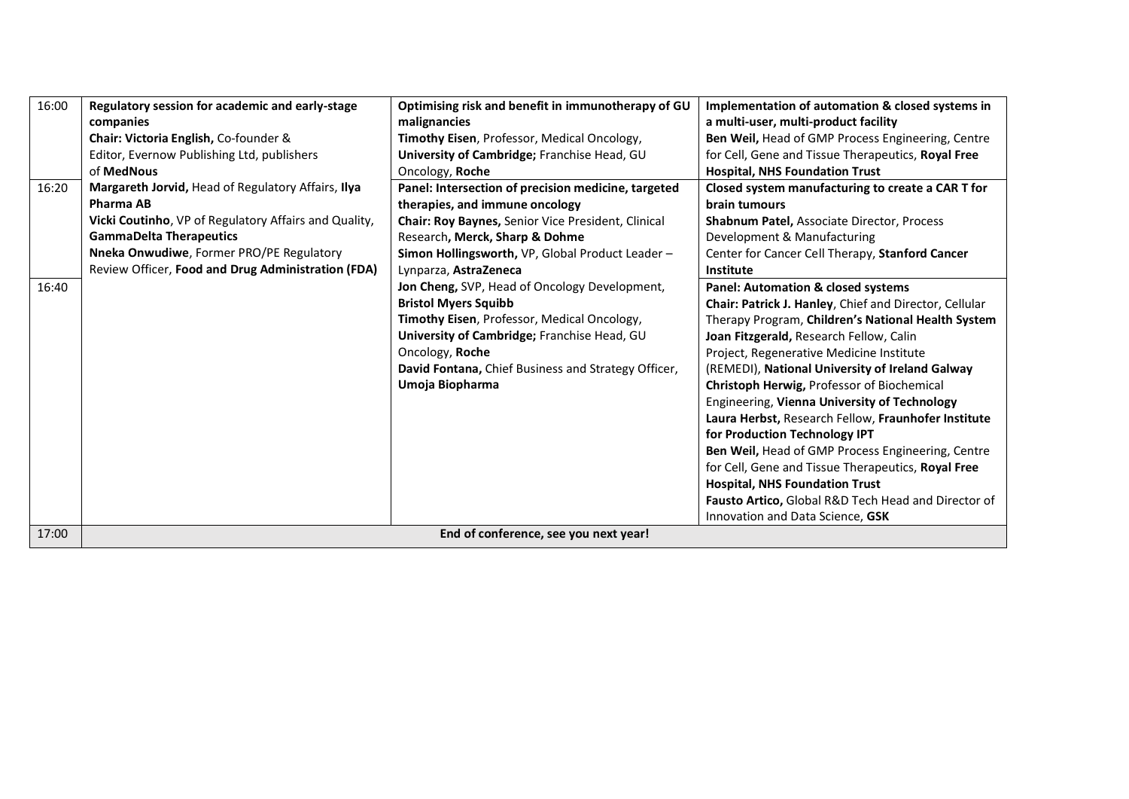| 16:00<br>16:20<br>16:40 | Regulatory session for academic and early-stage<br>companies<br>Chair: Victoria English, Co-founder &<br>Editor, Evernow Publishing Ltd, publishers<br>of MedNous<br>Margareth Jorvid, Head of Regulatory Affairs, Ilya<br><b>Pharma AB</b><br>Vicki Coutinho, VP of Regulatory Affairs and Quality,<br><b>GammaDelta Therapeutics</b><br>Nneka Onwudiwe, Former PRO/PE Regulatory<br>Review Officer, Food and Drug Administration (FDA) | Optimising risk and benefit in immunotherapy of GU<br>malignancies<br>Timothy Eisen, Professor, Medical Oncology,<br>University of Cambridge; Franchise Head, GU<br>Oncology, Roche<br>Panel: Intersection of precision medicine, targeted<br>therapies, and immune oncology<br>Chair: Roy Baynes, Senior Vice President, Clinical<br>Research, Merck, Sharp & Dohme<br>Simon Hollingsworth, VP, Global Product Leader-<br>Lynparza, AstraZeneca<br>Jon Cheng, SVP, Head of Oncology Development, | Implementation of automation & closed systems in<br>a multi-user, multi-product facility<br>Ben Weil, Head of GMP Process Engineering, Centre<br>for Cell, Gene and Tissue Therapeutics, Royal Free<br><b>Hospital, NHS Foundation Trust</b><br>Closed system manufacturing to create a CAR T for<br>brain tumours<br><b>Shabnum Patel, Associate Director, Process</b><br>Development & Manufacturing<br>Center for Cancer Cell Therapy, Stanford Cancer<br>Institute<br>Panel: Automation & closed systems |  |
|-------------------------|------------------------------------------------------------------------------------------------------------------------------------------------------------------------------------------------------------------------------------------------------------------------------------------------------------------------------------------------------------------------------------------------------------------------------------------|---------------------------------------------------------------------------------------------------------------------------------------------------------------------------------------------------------------------------------------------------------------------------------------------------------------------------------------------------------------------------------------------------------------------------------------------------------------------------------------------------|--------------------------------------------------------------------------------------------------------------------------------------------------------------------------------------------------------------------------------------------------------------------------------------------------------------------------------------------------------------------------------------------------------------------------------------------------------------------------------------------------------------|--|
|                         |                                                                                                                                                                                                                                                                                                                                                                                                                                          | <b>Bristol Myers Squibb</b>                                                                                                                                                                                                                                                                                                                                                                                                                                                                       | Chair: Patrick J. Hanley, Chief and Director, Cellular                                                                                                                                                                                                                                                                                                                                                                                                                                                       |  |
|                         |                                                                                                                                                                                                                                                                                                                                                                                                                                          | Timothy Eisen, Professor, Medical Oncology,<br>University of Cambridge; Franchise Head, GU                                                                                                                                                                                                                                                                                                                                                                                                        | Therapy Program, Children's National Health System<br>Joan Fitzgerald, Research Fellow, Calin                                                                                                                                                                                                                                                                                                                                                                                                                |  |
|                         |                                                                                                                                                                                                                                                                                                                                                                                                                                          | Oncology, Roche                                                                                                                                                                                                                                                                                                                                                                                                                                                                                   | Project, Regenerative Medicine Institute                                                                                                                                                                                                                                                                                                                                                                                                                                                                     |  |
|                         |                                                                                                                                                                                                                                                                                                                                                                                                                                          | David Fontana, Chief Business and Strategy Officer,<br>Umoja Biopharma                                                                                                                                                                                                                                                                                                                                                                                                                            | (REMEDI), National University of Ireland Galway<br>Christoph Herwig, Professor of Biochemical                                                                                                                                                                                                                                                                                                                                                                                                                |  |
|                         |                                                                                                                                                                                                                                                                                                                                                                                                                                          |                                                                                                                                                                                                                                                                                                                                                                                                                                                                                                   | Engineering, Vienna University of Technology                                                                                                                                                                                                                                                                                                                                                                                                                                                                 |  |
|                         |                                                                                                                                                                                                                                                                                                                                                                                                                                          |                                                                                                                                                                                                                                                                                                                                                                                                                                                                                                   | Laura Herbst, Research Fellow, Fraunhofer Institute                                                                                                                                                                                                                                                                                                                                                                                                                                                          |  |
|                         |                                                                                                                                                                                                                                                                                                                                                                                                                                          |                                                                                                                                                                                                                                                                                                                                                                                                                                                                                                   | for Production Technology IPT<br>Ben Weil, Head of GMP Process Engineering, Centre                                                                                                                                                                                                                                                                                                                                                                                                                           |  |
|                         |                                                                                                                                                                                                                                                                                                                                                                                                                                          |                                                                                                                                                                                                                                                                                                                                                                                                                                                                                                   | for Cell, Gene and Tissue Therapeutics, Royal Free                                                                                                                                                                                                                                                                                                                                                                                                                                                           |  |
|                         |                                                                                                                                                                                                                                                                                                                                                                                                                                          |                                                                                                                                                                                                                                                                                                                                                                                                                                                                                                   | <b>Hospital, NHS Foundation Trust</b>                                                                                                                                                                                                                                                                                                                                                                                                                                                                        |  |
|                         |                                                                                                                                                                                                                                                                                                                                                                                                                                          |                                                                                                                                                                                                                                                                                                                                                                                                                                                                                                   | Fausto Artico, Global R&D Tech Head and Director of<br>Innovation and Data Science, GSK                                                                                                                                                                                                                                                                                                                                                                                                                      |  |
| 17:00                   | End of conference, see you next year!                                                                                                                                                                                                                                                                                                                                                                                                    |                                                                                                                                                                                                                                                                                                                                                                                                                                                                                                   |                                                                                                                                                                                                                                                                                                                                                                                                                                                                                                              |  |